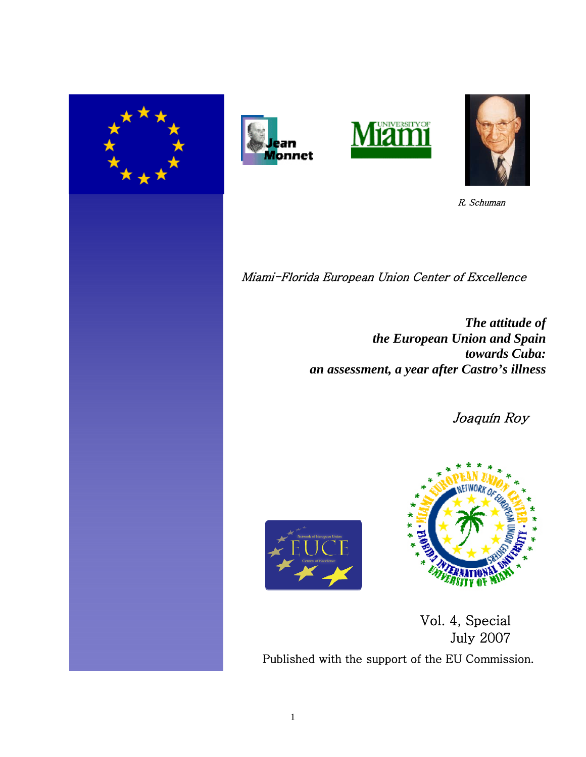







R. Schuman

Miami-Florida European Union Center of Excellence

*The attitude of the European Union and Spain towards Cuba: an assessment, a year after Castro's illness*

Joaquín Roy





Vol. 4, Special July 2007Published with the support of the EU Commission.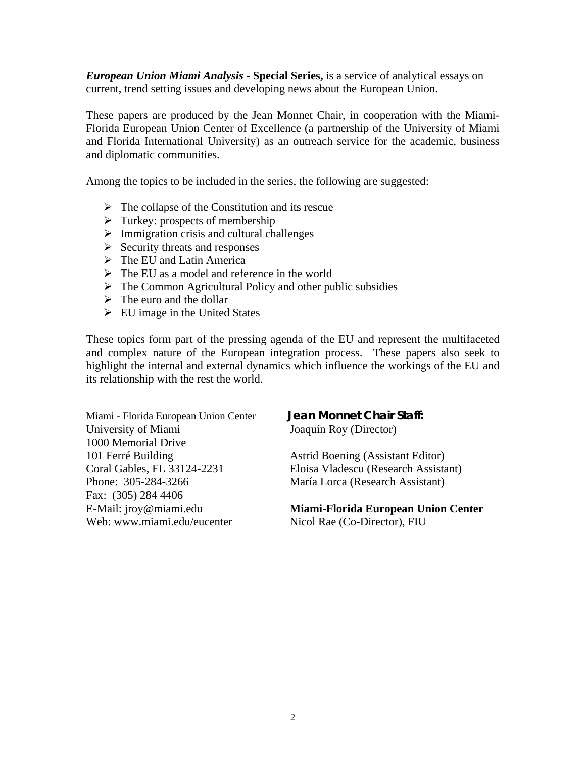*European Union Miami Analysis* **- Special Series,** is a service of analytical essays on current, trend setting issues and developing news about the European Union.

These papers are produced by the Jean Monnet Chair, in cooperation with the Miami-Florida European Union Center of Excellence (a partnership of the University of Miami and Florida International University) as an outreach service for the academic, business and diplomatic communities.

Among the topics to be included in the series, the following are suggested:

- $\triangleright$  The collapse of the Constitution and its rescue
- $\triangleright$  Turkey: prospects of membership
- $\triangleright$  Immigration crisis and cultural challenges
- $\triangleright$  Security threats and responses
- $\triangleright$  The EU and Latin America
- $\triangleright$  The EU as a model and reference in the world
- $\triangleright$  The Common Agricultural Policy and other public subsidies
- $\triangleright$  The euro and the dollar
- $\triangleright$  EU image in the United States

These topics form part of the pressing agenda of the EU and represent the multifaceted and complex nature of the European integration process. These papers also seek to highlight the internal and external dynamics which influence the workings of the EU and its relationship with the rest the world.

Miami - Florida European Union Center **Jean Monnet Chair Staff:** University of Miami Joaquín Roy (Director) 1000 Memorial Drive 101 Ferré Building Astrid Boening (Assistant Editor) Phone: 305-284-3266 María Lorca (Research Assistant) Fax: (305) 284 4406 Web: www.miami.edu/eucenter Nicol Rae (Co-Director), FIU

Coral Gables, FL 33124-2231 Eloisa Vladescu (Research Assistant)

# E-Mail: jroy@miami.edu **Miami-Florida European Union Center**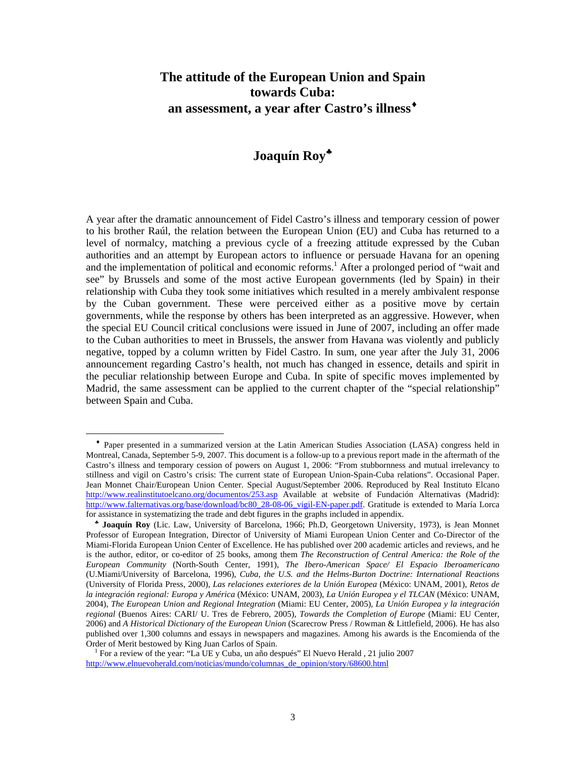# **The attitude of the European Union and Spain towards Cuba: an assessment, a year after Castro's illness**♦

# **Joaquín Roy**♣

A year after the dramatic announcement of Fidel Castro's illness and temporary cession of power to his brother Raúl, the relation between the European Union (EU) and Cuba has returned to a level of normalcy, matching a previous cycle of a freezing attitude expressed by the Cuban authorities and an attempt by European actors to influence or persuade Havana for an opening and the implementation of political and economic reforms.<sup>1</sup> After a prolonged period of "wait and see" by Brussels and some of the most active European governments (led by Spain) in their relationship with Cuba they took some initiatives which resulted in a merely ambivalent response by the Cuban government. These were perceived either as a positive move by certain governments, while the response by others has been interpreted as an aggressive. However, when the special EU Council critical conclusions were issued in June of 2007, including an offer made to the Cuban authorities to meet in Brussels, the answer from Havana was violently and publicly negative, topped by a column written by Fidel Castro. In sum, one year after the July 31, 2006 announcement regarding Castro's health, not much has changed in essence, details and spirit in the peculiar relationship between Europe and Cuba. In spite of specific moves implemented by Madrid, the same assessment can be applied to the current chapter of the "special relationship" between Spain and Cuba.

♦ Paper presented in a summarized version at the Latin American Studies Association (LASA) congress held in Montreal, Canada, September 5-9, 2007. This document is a follow-up to a previous report made in the aftermath of the Castro's illness and temporary cession of powers on August 1, 2006: "From stubbornness and mutual irrelevancy to stillness and vigil on Castro's crisis: The current state of European Union-Spain-Cuba relations". Occasional Paper. Jean Monnet Chair/European Union Center. Special August/September 2006. Reproduced by Real Instituto Elcano http://www.realinstitutoelcano.org/documentos/253.asp Available at website of Fundación Alternativas (Madrid): http://www.falternativas.org/base/download/bc80\_28-08-06\_vigil-EN-paper.pdf. Gratitude is extended to María Lorca for assistance in systematizing the trade and debt figures in the graphs included in appendix.

♣ **Joaquín Roy** (Lic. Law, University of Barcelona, 1966; Ph.D, Georgetown University, 1973), is Jean Monnet Professor of European Integration, Director of University of Miami European Union Center and Co-Director of the Miami-Florida European Union Center of Excellence. He has published over 200 academic articles and reviews, and he is the author, editor, or co-editor of 25 books, among them *The Reconstruction of Central America: the Role of the European Community* (North-South Center, 1991), *The Ibero-American Space/ El Espacio Iberoamericano* (U.Miami/University of Barcelona, 1996), *Cuba, the U.S. and the Helms-Burton Doctrine: International Reactions*  (University of Florida Press, 2000), *Las relaciones exteriores de la Unión Europea* (México: UNAM, 2001), *Retos de la integración regional: Europa y América* (México: UNAM, 2003), *La Unión Europea y el TLCAN* (México: UNAM, 2004), *The European Union and Regional Integration* (Miami: EU Center, 2005), *La Unión Europea y la integración regional* (Buenos Aires: CARI/ U. Tres de Febrero, 2005), *Towards the Completion of Europe* (Miami: EU Center, 2006) and *A Historical Dictionary of the European Union* (Scarecrow Press / Rowman & Littlefield, 2006). He has also published over 1,300 columns and essays in newspapers and magazines. Among his awards is the Encomienda of the Order of Merit bestowed by King Juan Carlos of Spain.

<sup>1</sup> For a review of the year: "La UE y Cuba, un año después" El Nuevo Herald , 21 julio 2007 http://www.elnuevoherald.com/noticias/mundo/columnas\_de\_opinion/story/68600.html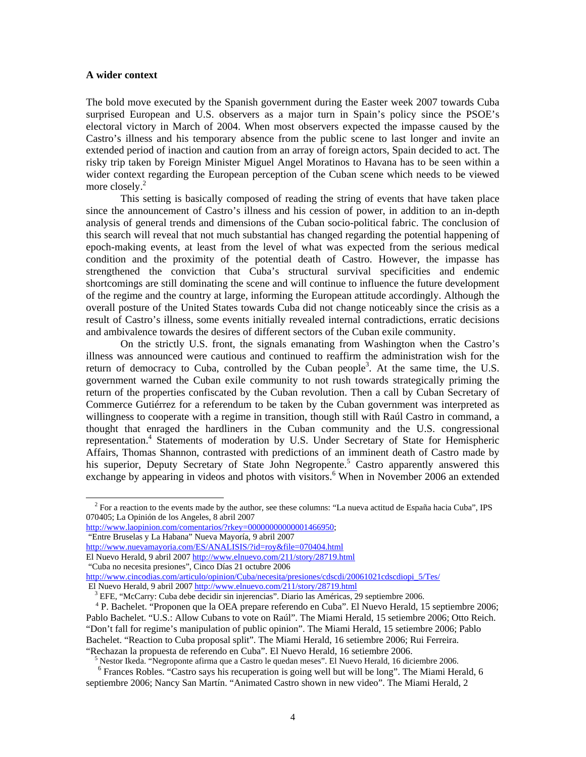#### **A wider context**

The bold move executed by the Spanish government during the Easter week 2007 towards Cuba surprised European and U.S. observers as a major turn in Spain's policy since the PSOE's electoral victory in March of 2004. When most observers expected the impasse caused by the Castro's illness and his temporary absence from the public scene to last longer and invite an extended period of inaction and caution from an array of foreign actors, Spain decided to act. The risky trip taken by Foreign Minister Miguel Angel Moratinos to Havana has to be seen within a wider context regarding the European perception of the Cuban scene which needs to be viewed more closely.<sup>2</sup>

 This setting is basically composed of reading the string of events that have taken place since the announcement of Castro's illness and his cession of power, in addition to an in-depth analysis of general trends and dimensions of the Cuban socio-political fabric. The conclusion of this search will reveal that not much substantial has changed regarding the potential happening of epoch-making events, at least from the level of what was expected from the serious medical condition and the proximity of the potential death of Castro. However, the impasse has strengthened the conviction that Cuba's structural survival specificities and endemic shortcomings are still dominating the scene and will continue to influence the future development of the regime and the country at large, informing the European attitude accordingly. Although the overall posture of the United States towards Cuba did not change noticeably since the crisis as a result of Castro's illness, some events initially revealed internal contradictions, erratic decisions and ambivalence towards the desires of different sectors of the Cuban exile community.

 On the strictly U.S. front, the signals emanating from Washington when the Castro's illness was announced were cautious and continued to reaffirm the administration wish for the return of democracy to Cuba, controlled by the Cuban people<sup>3</sup>. At the same time, the U.S. government warned the Cuban exile community to not rush towards strategically priming the return of the properties confiscated by the Cuban revolution. Then a call by Cuban Secretary of Commerce Gutiérrez for a referendum to be taken by the Cuban government was interpreted as willingness to cooperate with a regime in transition, though still with Raúl Castro in command, a thought that enraged the hardliners in the Cuban community and the U.S. congressional representation.<sup>4</sup> Statements of moderation by U.S. Under Secretary of State for Hemispheric Affairs, Thomas Shannon, contrasted with predictions of an imminent death of Castro made by his superior, Deputy Secretary of State John Negropente.<sup>5</sup> Castro apparently answered this exchange by appearing in videos and photos with visitors.<sup>6</sup> When in November 2006 an extended

http://www.laopinion.com/comentarios/?rkey=00000000000001466950:

"Entre Bruselas y La Habana" Nueva Mayoría, 9 abril 2007

 $\overline{a}$ 

http://www.nuevamayoria.com/ES/ANALISIS/?id=roy&file=070404.html

El Nuevo Herald, 9 abril 2007 http://www.elnuevo.com/211/story/28719.html

"Cuba no necesita presiones", Cinco Días 21 octubre 2006

http://www.cincodias.com/articulo/opinion/Cuba/necesita/presiones/cdscdi/20061021cdscdiopi\_5/Tes/ El Nuevo Herald, 9 abril 2007 http://www.elnuevo.com/211/story/28719.html

<sup>5</sup> Nestor Ikeda. "Negroponte afirma que a Castro le quedan meses". El Nuevo Herald, 16 diciembre 2006.

 $<sup>2</sup>$  For a reaction to the events made by the author, see these columns: "La nueva actitud de España hacia Cuba", IPS</sup> 070405; La Opinión de los Angeles, 8 abril 2007

<sup>&</sup>lt;sup>3</sup> EFE, "McCarry: Cuba debe decidir sin injerencias". Diario las Américas, 29 septiembre 2006.

 <sup>4</sup> P. Bachelet. "Proponen que la OEA prepare referendo en Cuba". El Nuevo Herald, 15 septiembre 2006; Pablo Bachelet. "U.S.: Allow Cubans to vote on Raúl". The Miami Herald, 15 setiembre 2006; Otto Reich. "Don't fall for regime's manipulation of public opinion". The Miami Herald, 15 setiembre 2006; Pablo Bachelet. "Reaction to Cuba proposal split". The Miami Herald, 16 setiembre 2006; Rui Ferreira. "Rechazan la propuesta de referendo en Cuba". El Nuevo Herald, 16 setiembre 2006.

<sup>&</sup>lt;sup>6</sup> Frances Robles. "Castro says his recuperation is going well but will be long". The Miami Herald, 6 septiembre 2006; Nancy San Martín. "Animated Castro shown in new video". The Miami Herald, 2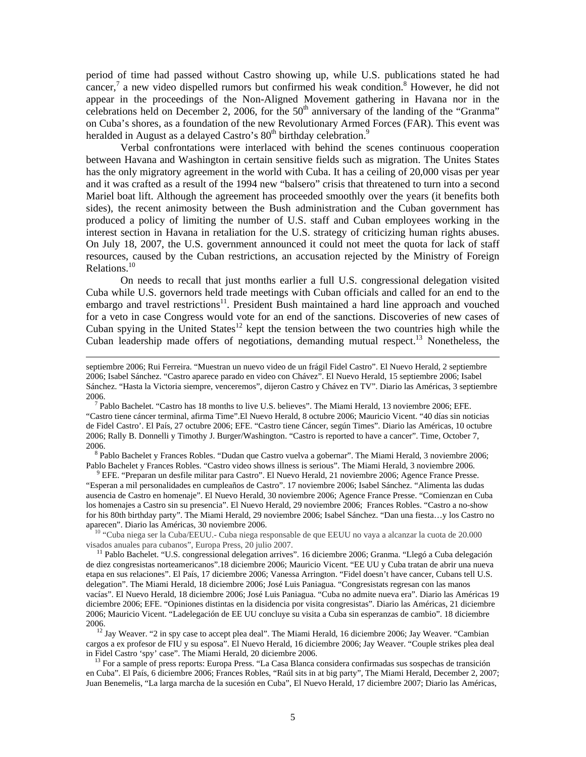period of time had passed without Castro showing up, while U.S. publications stated he had cancer,<sup>7</sup> a new video dispelled rumors but confirmed his weak condition.<sup>8</sup> However, he did not appear in the proceedings of the Non-Aligned Movement gathering in Havana nor in the celebrations held on December 2, 2006, for the  $50<sup>th</sup>$  anniversary of the landing of the "Granma" on Cuba's shores, as a foundation of the new Revolutionary Armed Forces (FAR). This event was heralded in August as a delayed Castro's  $80<sup>th</sup>$  birthday celebration.<sup>9</sup>

 Verbal confrontations were interlaced with behind the scenes continuous cooperation between Havana and Washington in certain sensitive fields such as migration. The Unites States has the only migratory agreement in the world with Cuba. It has a ceiling of 20,000 visas per year and it was crafted as a result of the 1994 new "balsero" crisis that threatened to turn into a second Mariel boat lift. Although the agreement has proceeded smoothly over the years (it benefits both sides), the recent animosity between the Bush administration and the Cuban government has produced a policy of limiting the number of U.S. staff and Cuban employees working in the interest section in Havana in retaliation for the U.S. strategy of criticizing human rights abuses. On July 18, 2007, the U.S. government announced it could not meet the quota for lack of staff resources, caused by the Cuban restrictions, an accusation rejected by the Ministry of Foreign Relations.<sup>10</sup>

On needs to recall that just months earlier a full U.S. congressional delegation visited Cuba while U.S. governors held trade meetings with Cuban officials and called for an end to the embargo and travel restrictions<sup>11</sup>. President Bush maintained a hard line approach and vouched for a veto in case Congress would vote for an end of the sanctions. Discoveries of new cases of Cuban spying in the United States<sup>12</sup> kept the tension between the two countries high while the Cuban leadership made offers of negotiations, demanding mutual respect.<sup>13</sup> Nonetheless, the

 $\overline{a}$ 

<sup>8</sup> Pablo Bachelet y Frances Robles. "Dudan que Castro vuelva a gobernar". The Miami Herald, 3 noviembre 2006; Pablo Bachelet y Frances Robles. "Castro video shows illness is serious". The Miami Herald, 3 noviembre 2006.

<sup>9</sup> EFE. "Preparan un desfile militar para Castro". El Nuevo Herald, 21 noviembre 2006; Agence France Presse. "Esperan a mil personalidades en cumpleaños de Castro". 17 noviembre 2006; Isabel Sánchez. "Alimenta las dudas ausencia de Castro en homenaje". El Nuevo Herald, 30 noviembre 2006; Agence France Presse. "Comienzan en Cuba los homenajes a Castro sin su presencia". El Nuevo Herald, 29 noviembre 2006; Frances Robles. "Castro a no-show for his 80th birthday party". The Miami Herald, 29 noviembre 2006; Isabel Sánchez. "Dan una fiesta…y los Castro no aparecen". Diario las Américas, 30 noviembre 2006.

 $10$  "Cuba niega ser la Cuba/EEUU.- Cuba niega responsable de que EEUU no vaya a alcanzar la cuota de 20.000 visados anuales para cubanos", Europa Press, 20 julio 2007.

 11 Pablo Bachelet. "U.S. congressional delegation arrives". 16 diciembre 2006; Granma. "Llegó a Cuba delegación de diez congresistas norteamericanos".18 diciembre 2006; Mauricio Vicent. "EE UU y Cuba tratan de abrir una nueva etapa en sus relaciones". El País, 17 diciembre 2006; Vanessa Arrington. "Fidel doesn't have cancer, Cubans tell U.S. delegation". The Miami Herald, 18 diciembre 2006; José Luis Paniagua. "Congresistats regresan con las manos vacías". El Nuevo Herald, 18 diciembre 2006; José Luis Paniagua. "Cuba no admite nueva era". Diario las Américas 19 diciembre 2006; EFE. "Opiniones distintas en la disidencia por visita congresistas". Diario las Américas, 21 diciembre 2006; Mauricio Vicent. "Ladelegación de EE UU concluye su visita a Cuba sin esperanzas de cambio". 18 diciembre 2006.

<sup>12</sup> Jay Weaver. "2 in spy case to accept plea deal". The Miami Herald, 16 diciembre 2006; Jay Weaver. "Cambian" cargos a ex profesor de FIU y su esposa". El Nuevo Herald, 16 diciembre 2006; Jay Weaver. "Couple strikes plea deal in Fidel Castro 'spy' case". The Miami Herald, 20 diciembre 2006.

<sup>13</sup> For a sample of press reports: Europa Press. "La Casa Blanca considera confirmadas sus sospechas de transición en Cuba". El País, 6 diciembre 2006; Frances Robles, "Raúl sits in at big party", The Miami Herald, December 2, 2007; Juan Benemelis, "La larga marcha de la sucesión en Cuba", El Nuevo Herald, 17 diciembre 2007; Diario las Américas,

septiembre 2006; Rui Ferreira. "Muestran un nuevo video de un frágil Fidel Castro". El Nuevo Herald, 2 septiembre 2006; Isabel Sánchez. "Castro aparece parado en video con Chávez". El Nuevo Herald, 15 septiembre 2006; Isabel Sánchez. "Hasta la Victoria siempre, venceremos", dijeron Castro y Chávez en TV". Diario las Américas, 3 septiembre 2006.

<sup>7</sup> Pablo Bachelet. "Castro has 18 months to live U.S. believes". The Miami Herald, 13 noviembre 2006; EFE. "Castro tiene cáncer terminal, afirma Time".El Nuevo Herald, 8 octubre 2006; Mauricio Vicent. "40 días sin noticias de Fidel Castro'. El País, 27 octubre 2006; EFE. "Castro tiene Cáncer, según Times". Diario las Américas, 10 octubre 2006; Rally B. Donnelli y Timothy J. Burger/Washington. "Castro is reported to have a cancer". Time, October 7, 2006.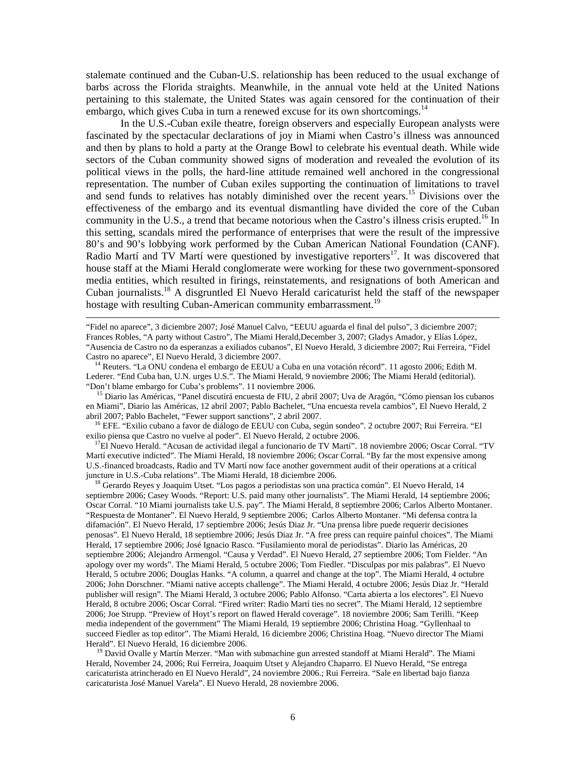stalemate continued and the Cuban-U.S. relationship has been reduced to the usual exchange of barbs across the Florida straights. Meanwhile, in the annual vote held at the United Nations pertaining to this stalemate, the United States was again censored for the continuation of their embargo, which gives Cuba in turn a renewed excuse for its own shortcomings.<sup>14</sup>

 In the U.S.-Cuban exile theatre, foreign observers and especially European analysts were fascinated by the spectacular declarations of joy in Miami when Castro's illness was announced and then by plans to hold a party at the Orange Bowl to celebrate his eventual death. While wide sectors of the Cuban community showed signs of moderation and revealed the evolution of its political views in the polls, the hard-line attitude remained well anchored in the congressional representation. The number of Cuban exiles supporting the continuation of limitations to travel and send funds to relatives has notably diminished over the recent years.<sup>15</sup> Divisions over the effectiveness of the embargo and its eventual dismantling have divided the core of the Cuban community in the U.S., a trend that became notorious when the Castro's illness crisis erupted.<sup>16</sup> In this setting, scandals mired the performance of enterprises that were the result of the impressive 80's and 90's lobbying work performed by the Cuban American National Foundation (CANF). Radio Martí and TV Martí were questioned by investigative reporters $17$ . It was discovered that house staff at the Miami Herald conglomerate were working for these two government-sponsored media entities, which resulted in firings, reinstatements, and resignations of both American and Cuban journalists.18 A disgruntled El Nuevo Herald caricaturist held the staff of the newspaper hostage with resulting Cuban-American community embarrassment.<sup>19</sup>

"Fidel no aparece", 3 diciembre 2007; José Manuel Calvo, "EEUU aguarda el final del pulso", 3 diciembre 2007; Frances Robles, "A party without Castro", The Miami Herald,December 3, 2007; Gladys Amador, y Elías López, "Ausencia de Castro no da esperanzas a exiliados cubanos", El Nuevo Herald, 3 diciembre 2007; Rui Ferreira, "Fidel Castro no aparece", El Nuevo Herald, 3 diciembre 2007.

<sup>14</sup> Reuters. "La ONU condena el embargo de EEUU a Cuba en una votación récord". 11 agosto 2006; Edith M. Lederer. "End Cuba ban, U.N. urges U.S.". The Miami Herald, 9 noviembre 2006; The Miami Herald (editorial). "Don't blame embargo for Cuba's problems". 11 noviembre 2006.

 $\overline{a}$ 

<sup>15</sup> Diario las Américas, "Panel discutirá encuesta de FIU, 2 abril 2007; Uva de Aragón, "Cómo piensan los cubanos en Miami", Diario las Américas, 12 abril 2007; Pablo Bachelet, "Una encuesta revela cambios", El Nuevo Herald, 2 abril 2007; Pablo Bachelet, "Fewer support sanctions", 2 abril 2007.

 16 EFE. "Exilio cubano a favor de diálogo de EEUU con Cuba, según sondeo". 2 octubre 2007; Rui Ferreira. "El exilio piensa que Castro no vuelve al poder". El Nuevo Herald, 2 octubre 2006.

 $17$ El Nuevo Herald. "Acusan de actividad ilegal a funcionario de TV Martí". 18 noviembre 2006; Oscar Corral. "TV Martí executive indicted". The Miami Herald, 18 noviembre 2006; Oscar Corral. "By far the most expensive among U.S.-financed broadcasts, Radio and TV Martí now face another government audit of their operations at a critical juncture in U.S.-Cuba relations". The Miami Herald, 18 diciembre 2006.

<sup>18</sup> Gerardo Reyes y Joaquim Utset. "Los pagos a periodistas son una practica común". El Nuevo Herald, 14 septiembre 2006; Casey Woods. "Report: U.S. paid many other journalists". The Miami Herald, 14 septiembre 2006; Oscar Corral. "10 Miami journalists take U.S. pay". The Miami Herald, 8 septiembre 2006; Carlos Alberto Montaner. "Respuesta de Montaner". El Nuevo Herald, 9 septiembre 2006; Carlos Alberto Montaner. "Mi defensa contra la difamación". El Nuevo Herald, 17 septiembre 2006; Jesús Diaz Jr. "Una prensa libre puede requerir decisiones penosas". El Nuevo Herald, 18 septiembre 2006; Jesús Diaz Jr. "A free press can require painful choices". The Miami Herald, 17 septiembre 2006; José Ignacio Rasco. "Fusilamiento moral de periodistas". Diario las Américas, 20 septiembre 2006; Alejandro Armengol. "Causa y Verdad". El Nuevo Herald, 27 septiembre 2006; Tom Fielder. "An apology over my words". The Miami Herald, 5 octubre 2006; Tom Fiedler. "Disculpas por mis palabras". El Nuevo Herald, 5 octubre 2006; Douglas Hanks. "A column, a quarrel and change at the top". The Miami Herald, 4 octubre 2006; John Dorschner. "Miami native accepts challenge". The Miami Herald, 4 octubre 2006; Jesús Diaz Jr. "Herald publisher will resign". The Miami Herald, 3 octubre 2006; Pablo Alfonso. "Carta abierta a los electores". El Nuevo Herald, 8 octubre 2006; Oscar Corral. "Fired writer: Radio Martí ties no secret". The Miami Herald, 12 septiembre 2006; Joe Strupp. "Preview of Hoyt's report on flawed Herald coverage". 18 noviembre 2006; Sam Terilli. "Keep media independent of the government" The Miami Herald, 19 septiembre 2006; Christina Hoag. "Gyllenhaal to succeed Fiedler as top editor". The Miami Herald, 16 diciembre 2006; Christina Hoag. "Nuevo director The Miami Herald". El Nuevo Herald, 16 diciembre 2006.

<sup>19</sup> David Ovalle y Martín Merzer. "Man with submachine gun arrested standoff at Miami Herald". The Miami Herald, November 24, 2006; Rui Ferreira, Joaquim Utset y Alejandro Chaparro. El Nuevo Herald, "Se entrega caricaturista atrincherado en El Nuevo Herald", 24 noviembre 2006.; Rui Ferreira. "Sale en libertad bajo fianza caricaturista José Manuel Varela". El Nuevo Herald, 28 noviembre 2006.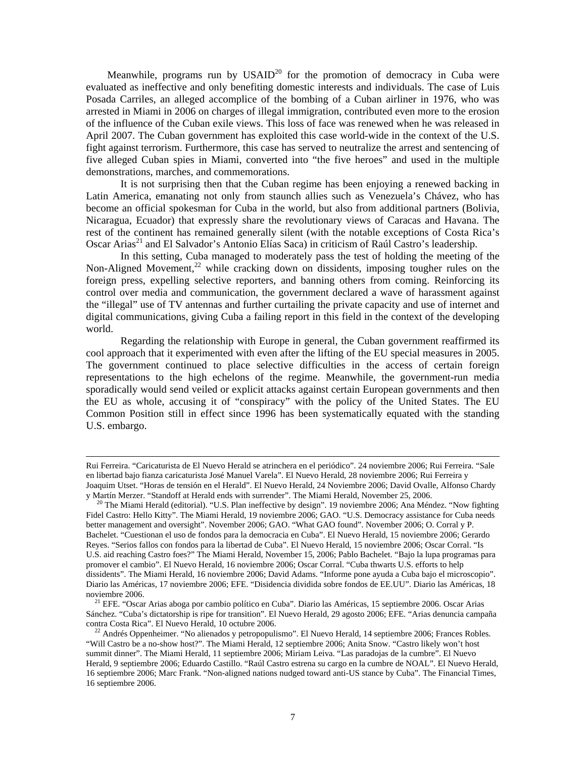Meanwhile, programs run by  $USAID<sup>20</sup>$  for the promotion of democracy in Cuba were evaluated as ineffective and only benefiting domestic interests and individuals. The case of Luis Posada Carriles, an alleged accomplice of the bombing of a Cuban airliner in 1976, who was arrested in Miami in 2006 on charges of illegal immigration, contributed even more to the erosion of the influence of the Cuban exile views. This loss of face was renewed when he was released in April 2007. The Cuban government has exploited this case world-wide in the context of the U.S. fight against terrorism. Furthermore, this case has served to neutralize the arrest and sentencing of five alleged Cuban spies in Miami, converted into "the five heroes" and used in the multiple demonstrations, marches, and commemorations.

 It is not surprising then that the Cuban regime has been enjoying a renewed backing in Latin America, emanating not only from staunch allies such as Venezuela's Chávez, who has become an official spokesman for Cuba in the world, but also from additional partners (Bolivia, Nicaragua, Ecuador) that expressly share the revolutionary views of Caracas and Havana. The rest of the continent has remained generally silent (with the notable exceptions of Costa Rica's Oscar Arias<sup>21</sup> and El Salvador's Antonio Elías Saca) in criticism of Raúl Castro's leadership.

 In this setting, Cuba managed to moderately pass the test of holding the meeting of the Non-Aligned Movement, $^{22}$  while cracking down on dissidents, imposing tougher rules on the foreign press, expelling selective reporters, and banning others from coming. Reinforcing its control over media and communication, the government declared a wave of harassment against the "illegal" use of TV antennas and further curtailing the private capacity and use of internet and digital communications, giving Cuba a failing report in this field in the context of the developing world.

 Regarding the relationship with Europe in general, the Cuban government reaffirmed its cool approach that it experimented with even after the lifting of the EU special measures in 2005. The government continued to place selective difficulties in the access of certain foreign representations to the high echelons of the regime. Meanwhile, the government-run media sporadically would send veiled or explicit attacks against certain European governments and then the EU as whole, accusing it of "conspiracy" with the policy of the United States. The EU Common Position still in effect since 1996 has been systematically equated with the standing U.S. embargo.

Rui Ferreira. "Caricaturista de El Nuevo Herald se atrinchera en el periódico". 24 noviembre 2006; Rui Ferreira. "Sale en libertad bajo fianza caricaturista José Manuel Varela". El Nuevo Herald, 28 noviembre 2006; Rui Ferreira y Joaquim Utset. "Horas de tensión en el Herald". El Nuevo Herald, 24 Noviembre 2006; David Ovalle, Alfonso Chardy y Martín Merzer. "Standoff at Herald ends with surrender". The Miami Herald, November 25, 2006.

<sup>&</sup>lt;sup>20</sup> The Miami Herald (editorial). "U.S. Plan ineffective by design". 19 noviembre 2006; Ana Méndez. "Now fighting Fidel Castro: Hello Kitty". The Miami Herald, 19 noviembre 2006; GAO. "U.S. Democracy assistance for Cuba needs better management and oversight". November 2006; GAO. "What GAO found". November 2006; O. Corral y P. Bachelet. "Cuestionan el uso de fondos para la democracia en Cuba". El Nuevo Herald, 15 noviembre 2006; Gerardo Reyes. "Serios fallos con fondos para la libertad de Cuba". El Nuevo Herald, 15 noviembre 2006; Oscar Corral. "Is U.S. aid reaching Castro foes?" The Miami Herald, November 15, 2006; Pablo Bachelet. "Bajo la lupa programas para promover el cambio". El Nuevo Herald, 16 noviembre 2006; Oscar Corral. "Cuba thwarts U.S. efforts to help dissidents". The Miami Herald, 16 noviembre 2006; David Adams. "Informe pone ayuda a Cuba bajo el microscopio". Diario las Américas, 17 noviembre 2006; EFE. "Disidencia dividida sobre fondos de EE.UU". Diario las Américas, 18 noviembre 2006.

21 EFE. "Oscar Arias aboga por cambio político en Cuba". Diario las Américas, 15 septiembre 2006. Oscar Arias Sánchez. "Cuba's dictatorship is ripe for transition". El Nuevo Herald, 29 agosto 2006; EFE. "Arias denuncia campaña contra Costa Rica". El Nuevo Herald, 10 octubre 2006.

 $^{22}$  Andrés Oppenheimer. "No alienados y petropopulismo". El Nuevo Herald, 14 septiembre 2006; Frances Robles. "Will Castro be a no-show host?". The Miami Herald, 12 septiembre 2006; Anita Snow. "Castro likely won't host summit dinner". The Miami Herald, 11 septiembre 2006; Miriam Leiva. "Las paradojas de la cumbre". El Nuevo Herald, 9 septiembre 2006; Eduardo Castillo. "Raúl Castro estrena su cargo en la cumbre de NOAL". El Nuevo Herald, 16 septiembre 2006; Marc Frank. "Non-aligned nations nudged toward anti-US stance by Cuba". The Financial Times, 16 septiembre 2006.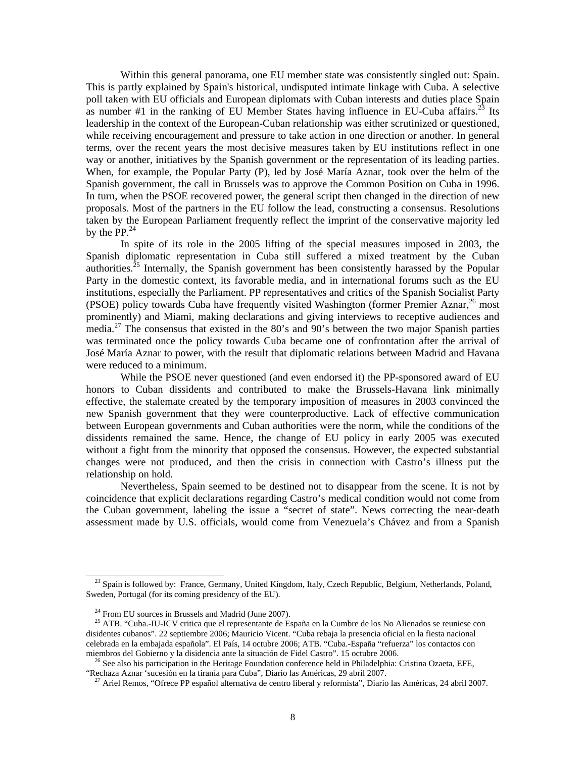Within this general panorama, one EU member state was consistently singled out: Spain. This is partly explained by Spain's historical, undisputed intimate linkage with Cuba. A selective poll taken with EU officials and European diplomats with Cuban interests and duties place Spain as number  $#1$  in the ranking of EU Member States having influence in EU-Cuba affairs.<sup>23</sup> Its leadership in the context of the European-Cuban relationship was either scrutinized or questioned, while receiving encouragement and pressure to take action in one direction or another. In general terms, over the recent years the most decisive measures taken by EU institutions reflect in one way or another, initiatives by the Spanish government or the representation of its leading parties. When, for example, the Popular Party (P), led by José María Aznar, took over the helm of the Spanish government, the call in Brussels was to approve the Common Position on Cuba in 1996. In turn, when the PSOE recovered power, the general script then changed in the direction of new proposals. Most of the partners in the EU follow the lead, constructing a consensus. Resolutions taken by the European Parliament frequently reflect the imprint of the conservative majority led by the  $PP<sup>24</sup>$ 

In spite of its role in the 2005 lifting of the special measures imposed in 2003, the Spanish diplomatic representation in Cuba still suffered a mixed treatment by the Cuban authorities.<sup>25</sup> Internally, the Spanish government has been consistently harassed by the Popular Party in the domestic context, its favorable media, and in international forums such as the EU institutions, especially the Parliament. PP representatives and critics of the Spanish Socialist Party (PSOE) policy towards Cuba have frequently visited Washington (former Premier Aznar,  $^{26}$  most prominently) and Miami, making declarations and giving interviews to receptive audiences and media.<sup>27</sup> The consensus that existed in the 80's and 90's between the two major Spanish parties was terminated once the policy towards Cuba became one of confrontation after the arrival of José María Aznar to power, with the result that diplomatic relations between Madrid and Havana were reduced to a minimum.

 While the PSOE never questioned (and even endorsed it) the PP-sponsored award of EU honors to Cuban dissidents and contributed to make the Brussels-Havana link minimally effective, the stalemate created by the temporary imposition of measures in 2003 convinced the new Spanish government that they were counterproductive. Lack of effective communication between European governments and Cuban authorities were the norm, while the conditions of the dissidents remained the same. Hence, the change of EU policy in early 2005 was executed without a fight from the minority that opposed the consensus. However, the expected substantial changes were not produced, and then the crisis in connection with Castro's illness put the relationship on hold.

 Nevertheless, Spain seemed to be destined not to disappear from the scene. It is not by coincidence that explicit declarations regarding Castro's medical condition would not come from the Cuban government, labeling the issue a "secret of state". News correcting the near-death assessment made by U.S. officials, would come from Venezuela's Chávez and from a Spanish

<sup>&</sup>lt;sup>23</sup> Spain is followed by: France, Germany, United Kingdom, Italy, Czech Republic, Belgium, Netherlands, Poland, Sweden, Portugal (for its coming presidency of the EU).

<sup>&</sup>lt;sup>24</sup> From EU sources in Brussels and Madrid (June 2007).

25 ATB. "Cuba.-IU-ICV critica que el representante de España en la Cumbre de los No Alienados se reuniese con disidentes cubanos". 22 septiembre 2006; Mauricio Vicent. "Cuba rebaja la presencia oficial en la fiesta nacional celebrada en la embajada española". El País, 14 octubre 2006; ATB. "Cuba.-España "refuerza" los contactos con miembros del Gobierno y la disidencia ante la situación de Fidel Castro". 15 octubre 2006.

<sup>&</sup>lt;sup>26</sup> See also his participation in the Heritage Foundation conference held in Philadelphia: Cristina Ozaeta, EFE, "Rechaza Aznar 'sucesión en la tiranía para Cuba", Diario las Américas, 29 abril 2007.

27 Ariel Remos, "Ofrece PP español alternativa de centro liberal y reformista", Diario las Américas, 24 abril 2007.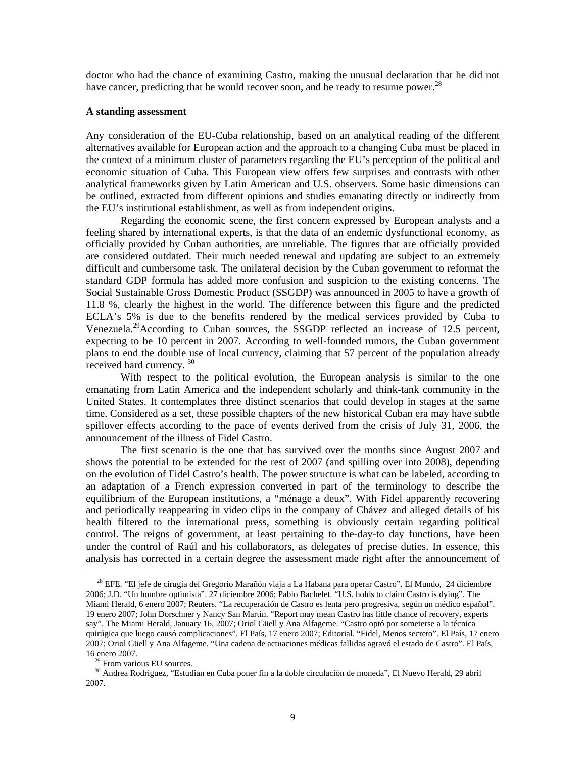doctor who had the chance of examining Castro, making the unusual declaration that he did not have cancer, predicting that he would recover soon, and be ready to resume power.<sup>28</sup>

#### **A standing assessment**

Any consideration of the EU-Cuba relationship, based on an analytical reading of the different alternatives available for European action and the approach to a changing Cuba must be placed in the context of a minimum cluster of parameters regarding the EU's perception of the political and economic situation of Cuba. This European view offers few surprises and contrasts with other analytical frameworks given by Latin American and U.S. observers. Some basic dimensions can be outlined, extracted from different opinions and studies emanating directly or indirectly from the EU's institutional establishment, as well as from independent origins.

 Regarding the economic scene, the first concern expressed by European analysts and a feeling shared by international experts, is that the data of an endemic dysfunctional economy, as officially provided by Cuban authorities, are unreliable. The figures that are officially provided are considered outdated. Their much needed renewal and updating are subject to an extremely difficult and cumbersome task. The unilateral decision by the Cuban government to reformat the standard GDP formula has added more confusion and suspicion to the existing concerns. The Social Sustainable Gross Domestic Product (SSGDP) was announced in 2005 to have a growth of 11.8 %, clearly the highest in the world. The difference between this figure and the predicted ECLA's 5% is due to the benefits rendered by the medical services provided by Cuba to Venezuela.<sup>29</sup>According to Cuban sources, the SSGDP reflected an increase of 12.5 percent, expecting to be 10 percent in 2007. According to well-founded rumors, the Cuban government plans to end the double use of local currency, claiming that 57 percent of the population already received hard currency.  $30$ 

 With respect to the political evolution, the European analysis is similar to the one emanating from Latin America and the independent scholarly and think-tank community in the United States. It contemplates three distinct scenarios that could develop in stages at the same time. Considered as a set, these possible chapters of the new historical Cuban era may have subtle spillover effects according to the pace of events derived from the crisis of July 31, 2006, the announcement of the illness of Fidel Castro.

 The first scenario is the one that has survived over the months since August 2007 and shows the potential to be extended for the rest of 2007 (and spilling over into 2008), depending on the evolution of Fidel Castro's health. The power structure is what can be labeled, according to an adaptation of a French expression converted in part of the terminology to describe the equilibrium of the European institutions, a "ménage a deux". With Fidel apparently recovering and periodically reappearing in video clips in the company of Chávez and alleged details of his health filtered to the international press, something is obviously certain regarding political control. The reigns of government, at least pertaining to the-day-to day functions, have been under the control of Raúl and his collaborators, as delegates of precise duties. In essence, this analysis has corrected in a certain degree the assessment made right after the announcement of

<sup>&</sup>lt;sup>28</sup> EFE. "El jefe de cirugía del Gregorio Marañón viaja a La Habana para operar Castro". El Mundo, 24 diciembre 2006; J.D. "Un hombre optimista". 27 diciembre 2006; Pablo Bachelet. "U.S. holds to claim Castro is dying". The Miami Herald, 6 enero 2007; Reuters. "La recuperación de Castro es lenta pero progresiva, según un médico español". 19 enero 2007; John Dorschner y Nancy San Martín. "Report may mean Castro has little chance of recovery, experts say". The Miami Herald, January 16, 2007; Oriol Güell y Ana Alfageme. "Castro optó por someterse a la técnica quirúgica que luego causó complicaciones". El País, 17 enero 2007; Editorial. "Fidel, Menos secreto". El País, 17 enero 2007; Oriol Güell y Ana Alfageme. "Una cadena de actuaciones médicas fallidas agravó el estado de Castro". El País, 16 enero 2007.

<sup>&</sup>lt;sup>9</sup> From various EU sources.

30 Andrea Rodríguez, "Estudian en Cuba poner fin a la doble circulación de moneda", El Nuevo Herald, 29 abril 2007.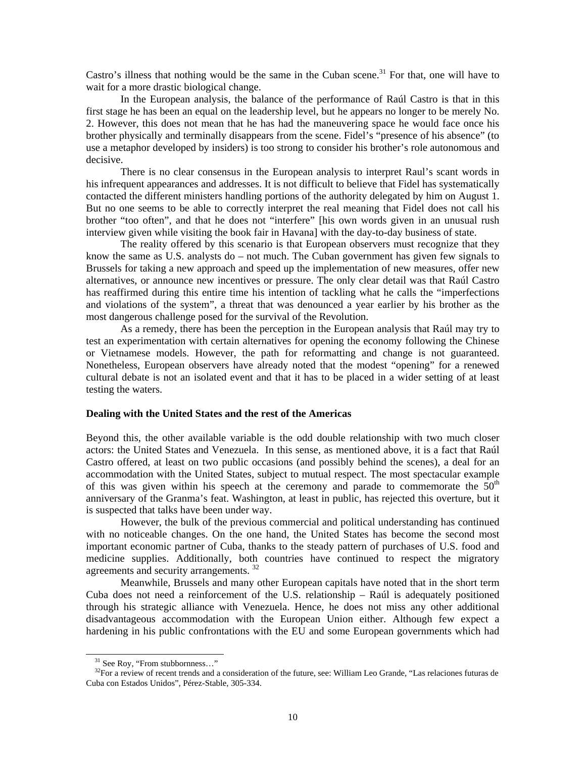Castro's illness that nothing would be the same in the Cuban scene.<sup>31</sup> For that, one will have to wait for a more drastic biological change.

 In the European analysis, the balance of the performance of Raúl Castro is that in this first stage he has been an equal on the leadership level, but he appears no longer to be merely No. 2. However, this does not mean that he has had the maneuvering space he would face once his brother physically and terminally disappears from the scene. Fidel's "presence of his absence" (to use a metaphor developed by insiders) is too strong to consider his brother's role autonomous and decisive.

 There is no clear consensus in the European analysis to interpret Raul's scant words in his infrequent appearances and addresses. It is not difficult to believe that Fidel has systematically contacted the different ministers handling portions of the authority delegated by him on August 1. But no one seems to be able to correctly interpret the real meaning that Fidel does not call his brother "too often", and that he does not "interfere" [his own words given in an unusual rush interview given while visiting the book fair in Havana] with the day-to-day business of state.

 The reality offered by this scenario is that European observers must recognize that they know the same as U.S. analysts do – not much. The Cuban government has given few signals to Brussels for taking a new approach and speed up the implementation of new measures, offer new alternatives, or announce new incentives or pressure. The only clear detail was that Raúl Castro has reaffirmed during this entire time his intention of tackling what he calls the "imperfections and violations of the system", a threat that was denounced a year earlier by his brother as the most dangerous challenge posed for the survival of the Revolution.

 As a remedy, there has been the perception in the European analysis that Raúl may try to test an experimentation with certain alternatives for opening the economy following the Chinese or Vietnamese models. However, the path for reformatting and change is not guaranteed. Nonetheless, European observers have already noted that the modest "opening" for a renewed cultural debate is not an isolated event and that it has to be placed in a wider setting of at least testing the waters.

#### **Dealing with the United States and the rest of the Americas**

Beyond this, the other available variable is the odd double relationship with two much closer actors: the United States and Venezuela. In this sense, as mentioned above, it is a fact that Raúl Castro offered, at least on two public occasions (and possibly behind the scenes), a deal for an accommodation with the United States, subject to mutual respect. The most spectacular example of this was given within his speech at the ceremony and parade to commemorate the  $50<sup>th</sup>$ anniversary of the Granma's feat. Washington, at least in public, has rejected this overture, but it is suspected that talks have been under way.

 However, the bulk of the previous commercial and political understanding has continued with no noticeable changes. On the one hand, the United States has become the second most important economic partner of Cuba, thanks to the steady pattern of purchases of U.S. food and medicine supplies. Additionally, both countries have continued to respect the migratory agreements and security arrangements. <sup>32</sup>

 Meanwhile, Brussels and many other European capitals have noted that in the short term Cuba does not need a reinforcement of the U.S. relationship – Raúl is adequately positioned through his strategic alliance with Venezuela. Hence, he does not miss any other additional disadvantageous accommodation with the European Union either. Although few expect a hardening in his public confrontations with the EU and some European governments which had

<sup>&</sup>lt;sup>31</sup> See Roy, "From stubbornness..."

<sup>&</sup>lt;sup>32</sup>For a review of recent trends and a consideration of the future, see: William Leo Grande, "Las relaciones futuras de Cuba con Estados Unidos", Pérez-Stable, 305-334.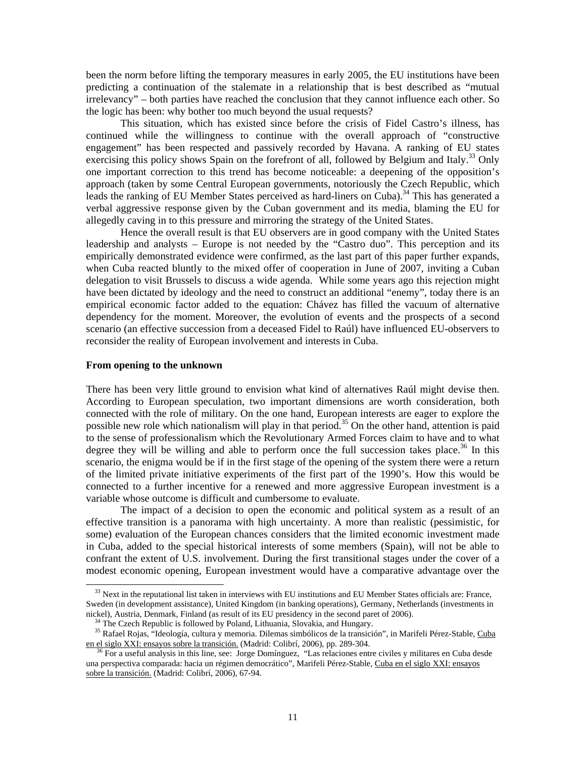been the norm before lifting the temporary measures in early 2005, the EU institutions have been predicting a continuation of the stalemate in a relationship that is best described as "mutual irrelevancy" – both parties have reached the conclusion that they cannot influence each other. So the logic has been: why bother too much beyond the usual requests?

 This situation, which has existed since before the crisis of Fidel Castro's illness, has continued while the willingness to continue with the overall approach of "constructive engagement" has been respected and passively recorded by Havana. A ranking of EU states exercising this policy shows Spain on the forefront of all, followed by Belgium and Italy.<sup>33</sup> Only one important correction to this trend has become noticeable: a deepening of the opposition's approach (taken by some Central European governments, notoriously the Czech Republic, which leads the ranking of EU Member States perceived as hard-liners on Cuba).<sup>34</sup> This has generated a verbal aggressive response given by the Cuban government and its media, blaming the EU for allegedly caving in to this pressure and mirroring the strategy of the United States.

 Hence the overall result is that EU observers are in good company with the United States leadership and analysts – Europe is not needed by the "Castro duo". This perception and its empirically demonstrated evidence were confirmed, as the last part of this paper further expands, when Cuba reacted bluntly to the mixed offer of cooperation in June of 2007, inviting a Cuban delegation to visit Brussels to discuss a wide agenda. While some years ago this rejection might have been dictated by ideology and the need to construct an additional "enemy", today there is an empirical economic factor added to the equation: Chávez has filled the vacuum of alternative dependency for the moment. Moreover, the evolution of events and the prospects of a second scenario (an effective succession from a deceased Fidel to Raúl) have influenced EU-observers to reconsider the reality of European involvement and interests in Cuba.

#### **From opening to the unknown**

l

There has been very little ground to envision what kind of alternatives Raúl might devise then. According to European speculation, two important dimensions are worth consideration, both connected with the role of military. On the one hand, European interests are eager to explore the possible new role which nationalism will play in that period.<sup>35</sup> On the other hand, attention is paid to the sense of professionalism which the Revolutionary Armed Forces claim to have and to what degree they will be willing and able to perform once the full succession takes place.<sup>36</sup> In this scenario, the enigma would be if in the first stage of the opening of the system there were a return of the limited private initiative experiments of the first part of the 1990's. How this would be connected to a further incentive for a renewed and more aggressive European investment is a variable whose outcome is difficult and cumbersome to evaluate.

 The impact of a decision to open the economic and political system as a result of an effective transition is a panorama with high uncertainty. A more than realistic (pessimistic, for some) evaluation of the European chances considers that the limited economic investment made in Cuba, added to the special historical interests of some members (Spain), will not be able to confrant the extent of U.S. involvement. During the first transitional stages under the cover of a modest economic opening, European investment would have a comparative advantage over the

 $33$  Next in the reputational list taken in interviews with EU institutions and EU Member States officials are: France, Sweden (in development assistance), United Kingdom (in banking operations), Germany, Netherlands (investments in nickel), Austria, Denmark, Finland (as result of its EU presidency in the second paret of 2006).

<sup>&</sup>lt;sup>34</sup> The Czech Republic is followed by Poland, Lithuania, Slovakia, and Hungary.

<sup>&</sup>lt;sup>35</sup> Rafael Rojas, "Ideología, cultura y memoria. Dilemas simbólicos de la transición", in Marifeli Pérez-Stable, Cuba en el siglo XXI: ensayos sobre la transición. (Madrid: Colibrí, 2006), pp. 289-304.

36 For a useful analysis in this line, see: Jorge Domínguez, "Las relaciones entre civiles y militares en Cuba desde una perspectiva comparada: hacia un régimen democrático", Marifeli Pérez-Stable, Cuba en el siglo XXI: ensayos sobre la transición. (Madrid: Colibrí, 2006), 67-94.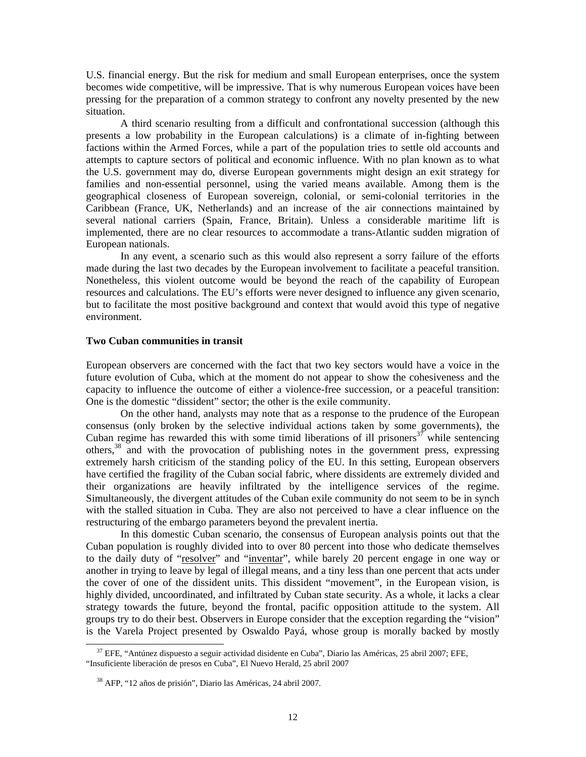U.S. financial energy. But the risk for medium and small European enterprises, once the system becomes wide competitive, will be impressive. That is why numerous European voices have been pressing for the preparation of a common strategy to confront any novelty presented by the new situation.

 A third scenario resulting from a difficult and confrontational succession (although this presents a low probability in the European calculations) is a climate of in-fighting between factions within the Armed Forces, while a part of the population tries to settle old accounts and attempts to capture sectors of political and economic influence. With no plan known as to what the U.S. government may do, diverse European governments might design an exit strategy for families and non-essential personnel, using the varied means available. Among them is the geographical closeness of European sovereign, colonial, or semi-colonial territories in the Caribbean (France, UK, Netherlands) and an increase of the air connections maintained by several national carriers (Spain, France, Britain). Unless a considerable maritime lift is implemented, there are no clear resources to accommodate a trans-Atlantic sudden migration of European nationals.

 In any event, a scenario such as this would also represent a sorry failure of the efforts made during the last two decades by the European involvement to facilitate a peaceful transition. Nonetheless, this violent outcome would be beyond the reach of the capability of European resources and calculations. The EU's efforts were never designed to influence any given scenario, but to facilitate the most positive background and context that would avoid this type of negative environment.

### **Two Cuban communities in transit**

European observers are concerned with the fact that two key sectors would have a voice in the future evolution of Cuba, which at the moment do not appear to show the cohesiveness and the capacity to influence the outcome of either a violence-free succession, or a peaceful transition: One is the domestic "dissident" sector; the other is the exile community.

 On the other hand, analysts may note that as a response to the prudence of the European consensus (only broken by the selective individual actions taken by some governments), the Cuban regime has rewarded this with some timid liberations of ill prisoners<sup>37</sup> while sentencing others,38 and with the provocation of publishing notes in the government press, expressing extremely harsh criticism of the standing policy of the EU. In this setting, European observers have certified the fragility of the Cuban social fabric, where dissidents are extremely divided and their organizations are heavily infiltrated by the intelligence services of the regime. Simultaneously, the divergent attitudes of the Cuban exile community do not seem to be in synch with the stalled situation in Cuba. They are also not perceived to have a clear influence on the restructuring of the embargo parameters beyond the prevalent inertia.

 In this domestic Cuban scenario, the consensus of European analysis points out that the Cuban population is roughly divided into to over 80 percent into those who dedicate themselves to the daily duty of "resolver" and "inventar", while barely 20 percent engage in one way or another in trying to leave by legal of illegal means, and a tiny less than one percent that acts under the cover of one of the dissident units. This dissident "movement", in the European vision, is highly divided, uncoordinated, and infiltrated by Cuban state security. As a whole, it lacks a clear strategy towards the future, beyond the frontal, pacific opposition attitude to the system. All groups try to do their best. Observers in Europe consider that the exception regarding the "vision" is the Varela Project presented by Oswaldo Payá, whose group is morally backed by mostly

37 EFE, "Antúnez dispuesto a seguir actividad disidente en Cuba", Diario las Américas, 25 abril 2007; EFE, "Insuficiente liberación de presos en Cuba", El Nuevo Herald, 25 abril 2007

38 AFP, "12 años de prisión", Diario las Américas, 24 abril 2007.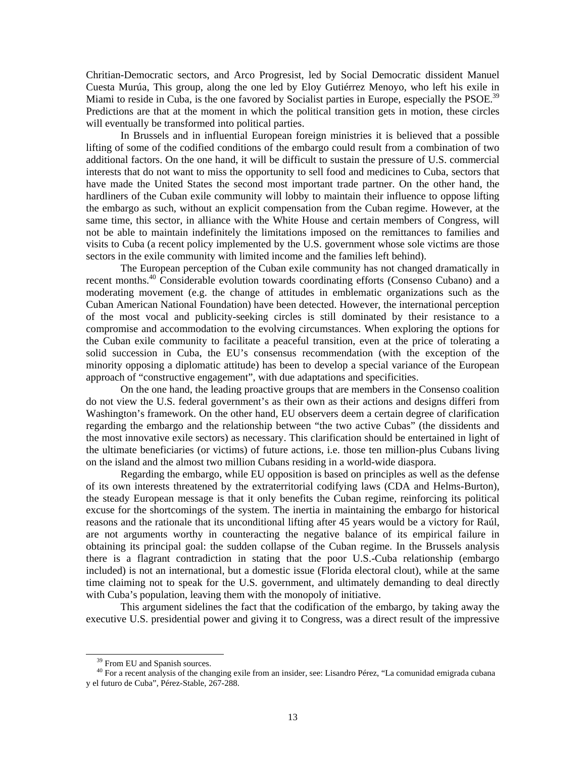Chritian-Democratic sectors, and Arco Progresist, led by Social Democratic dissident Manuel Cuesta Murúa, This group, along the one led by Eloy Gutiérrez Menoyo, who left his exile in Miami to reside in Cuba, is the one favored by Socialist parties in Europe, especially the PSOE.<sup>39</sup> Predictions are that at the moment in which the political transition gets in motion, these circles will eventually be transformed into political parties.

 In Brussels and in influential European foreign ministries it is believed that a possible lifting of some of the codified conditions of the embargo could result from a combination of two additional factors. On the one hand, it will be difficult to sustain the pressure of U.S. commercial interests that do not want to miss the opportunity to sell food and medicines to Cuba, sectors that have made the United States the second most important trade partner. On the other hand, the hardliners of the Cuban exile community will lobby to maintain their influence to oppose lifting the embargo as such, without an explicit compensation from the Cuban regime. However, at the same time, this sector, in alliance with the White House and certain members of Congress, will not be able to maintain indefinitely the limitations imposed on the remittances to families and visits to Cuba (a recent policy implemented by the U.S. government whose sole victims are those sectors in the exile community with limited income and the families left behind).

The European perception of the Cuban exile community has not changed dramatically in recent months.<sup>40</sup> Considerable evolution towards coordinating efforts (Consenso Cubano) and a moderating movement (e.g. the change of attitudes in emblematic organizations such as the Cuban American National Foundation) have been detected. However, the international perception of the most vocal and publicity-seeking circles is still dominated by their resistance to a compromise and accommodation to the evolving circumstances. When exploring the options for the Cuban exile community to facilitate a peaceful transition, even at the price of tolerating a solid succession in Cuba, the EU's consensus recommendation (with the exception of the minority opposing a diplomatic attitude) has been to develop a special variance of the European approach of "constructive engagement", with due adaptations and specificities.

 On the one hand, the leading proactive groups that are members in the Consenso coalition do not view the U.S. federal government's as their own as their actions and designs differi from Washington's framework. On the other hand, EU observers deem a certain degree of clarification regarding the embargo and the relationship between "the two active Cubas" (the dissidents and the most innovative exile sectors) as necessary. This clarification should be entertained in light of the ultimate beneficiaries (or victims) of future actions, i.e. those ten million-plus Cubans living on the island and the almost two million Cubans residing in a world-wide diaspora.

 Regarding the embargo, while EU opposition is based on principles as well as the defense of its own interests threatened by the extraterritorial codifying laws (CDA and Helms-Burton), the steady European message is that it only benefits the Cuban regime, reinforcing its political excuse for the shortcomings of the system. The inertia in maintaining the embargo for historical reasons and the rationale that its unconditional lifting after 45 years would be a victory for Raúl, are not arguments worthy in counteracting the negative balance of its empirical failure in obtaining its principal goal: the sudden collapse of the Cuban regime. In the Brussels analysis there is a flagrant contradiction in stating that the poor U.S.-Cuba relationship (embargo included) is not an international, but a domestic issue (Florida electoral clout), while at the same time claiming not to speak for the U.S. government, and ultimately demanding to deal directly with Cuba's population, leaving them with the monopoly of initiative.

 This argument sidelines the fact that the codification of the embargo, by taking away the executive U.S. presidential power and giving it to Congress, was a direct result of the impressive

<sup>&</sup>lt;sup>39</sup> From EU and Spanish sources.

40 For a recent analysis of the changing exile from an insider, see: Lisandro Pérez, "La comunidad emigrada cubana y el futuro de Cuba", Pérez-Stable, 267-288.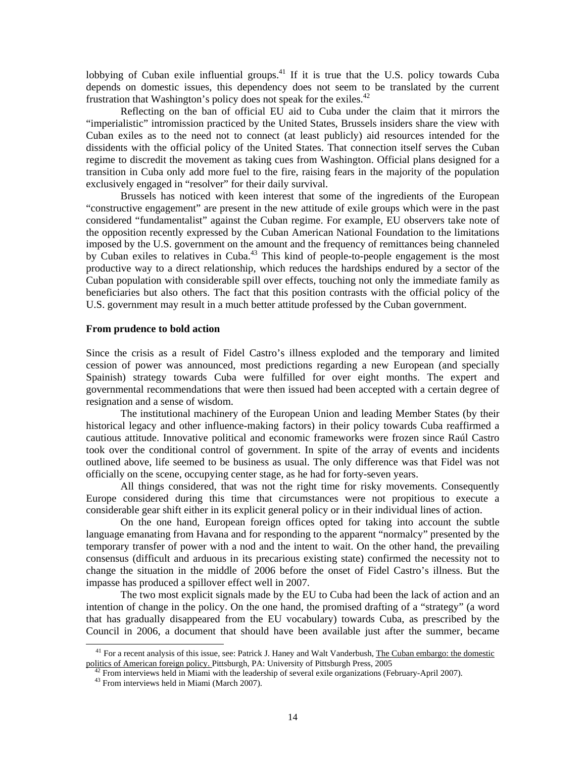lobbying of Cuban exile influential groups.<sup>41</sup> If it is true that the U.S. policy towards Cuba depends on domestic issues, this dependency does not seem to be translated by the current frustration that Washington's policy does not speak for the exiles.<sup>42</sup>

 Reflecting on the ban of official EU aid to Cuba under the claim that it mirrors the "imperialistic" intromission practiced by the United States, Brussels insiders share the view with Cuban exiles as to the need not to connect (at least publicly) aid resources intended for the dissidents with the official policy of the United States. That connection itself serves the Cuban regime to discredit the movement as taking cues from Washington. Official plans designed for a transition in Cuba only add more fuel to the fire, raising fears in the majority of the population exclusively engaged in "resolver" for their daily survival.

 Brussels has noticed with keen interest that some of the ingredients of the European "constructive engagement" are present in the new attitude of exile groups which were in the past considered "fundamentalist" against the Cuban regime. For example, EU observers take note of the opposition recently expressed by the Cuban American National Foundation to the limitations imposed by the U.S. government on the amount and the frequency of remittances being channeled by Cuban exiles to relatives in Cuba.<sup>43</sup> This kind of people-to-people engagement is the most productive way to a direct relationship, which reduces the hardships endured by a sector of the Cuban population with considerable spill over effects, touching not only the immediate family as beneficiaries but also others. The fact that this position contrasts with the official policy of the U.S. government may result in a much better attitude professed by the Cuban government.

#### **From prudence to bold action**

Since the crisis as a result of Fidel Castro's illness exploded and the temporary and limited cession of power was announced, most predictions regarding a new European (and specially Spainish) strategy towards Cuba were fulfilled for over eight months. The expert and governmental recommendations that were then issued had been accepted with a certain degree of resignation and a sense of wisdom.

 The institutional machinery of the European Union and leading Member States (by their historical legacy and other influence-making factors) in their policy towards Cuba reaffirmed a cautious attitude. Innovative political and economic frameworks were frozen since Raúl Castro took over the conditional control of government. In spite of the array of events and incidents outlined above, life seemed to be business as usual. The only difference was that Fidel was not officially on the scene, occupying center stage, as he had for forty-seven years.

All things considered, that was not the right time for risky movements. Consequently Europe considered during this time that circumstances were not propitious to execute a considerable gear shift either in its explicit general policy or in their individual lines of action.

On the one hand, European foreign offices opted for taking into account the subtle language emanating from Havana and for responding to the apparent "normalcy" presented by the temporary transfer of power with a nod and the intent to wait. On the other hand, the prevailing consensus (difficult and arduous in its precarious existing state) confirmed the necessity not to change the situation in the middle of 2006 before the onset of Fidel Castro's illness. But the impasse has produced a spillover effect well in 2007.

 The two most explicit signals made by the EU to Cuba had been the lack of action and an intention of change in the policy. On the one hand, the promised drafting of a "strategy" (a word that has gradually disappeared from the EU vocabulary) towards Cuba, as prescribed by the Council in 2006, a document that should have been available just after the summer, became

<sup>&</sup>lt;sup>41</sup> For a recent analysis of this issue, see: Patrick J. Haney and Walt Vanderbush, The Cuban embargo: the domestic politics of American foreign policy. Pittsburgh, PA: University of Pittsburgh Press, 2005

From interviews held in Miami with the leadership of several exile organizations (February-April 2007).

43 From interviews held in Miami (March 2007).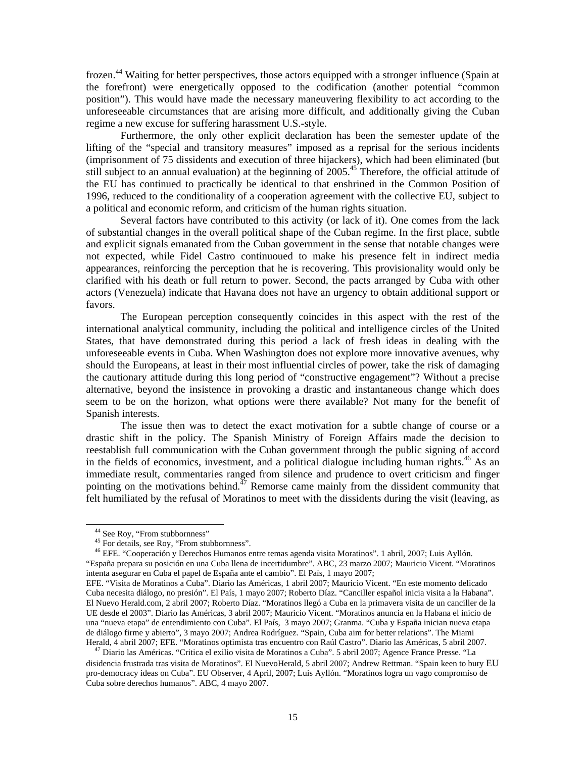frozen.<sup>44</sup> Waiting for better perspectives, those actors equipped with a stronger influence (Spain at the forefront) were energetically opposed to the codification (another potential "common position"). This would have made the necessary maneuvering flexibility to act according to the unforeseeable circumstances that are arising more difficult, and additionally giving the Cuban regime a new excuse for suffering harassment U.S.-style.

Furthermore, the only other explicit declaration has been the semester update of the lifting of the "special and transitory measures" imposed as a reprisal for the serious incidents (imprisonment of 75 dissidents and execution of three hijackers), which had been eliminated (but still subject to an annual evaluation) at the beginning of 2005.<sup>45</sup> Therefore, the official attitude of the EU has continued to practically be identical to that enshrined in the Common Position of 1996, reduced to the conditionality of a cooperation agreement with the collective EU, subject to a political and economic reform, and criticism of the human rights situation.

Several factors have contributed to this activity (or lack of it). One comes from the lack of substantial changes in the overall political shape of the Cuban regime. In the first place, subtle and explicit signals emanated from the Cuban government in the sense that notable changes were not expected, while Fidel Castro continuoued to make his presence felt in indirect media appearances, reinforcing the perception that he is recovering. This provisionality would only be clarified with his death or full return to power. Second, the pacts arranged by Cuba with other actors (Venezuela) indicate that Havana does not have an urgency to obtain additional support or favors.

The European perception consequently coincides in this aspect with the rest of the international analytical community, including the political and intelligence circles of the United States, that have demonstrated during this period a lack of fresh ideas in dealing with the unforeseeable events in Cuba. When Washington does not explore more innovative avenues, why should the Europeans, at least in their most influential circles of power, take the risk of damaging the cautionary attitude during this long period of "constructive engagement"? Without a precise alternative, beyond the insistence in provoking a drastic and instantaneous change which does seem to be on the horizon, what options were there available? Not many for the benefit of Spanish interests.

The issue then was to detect the exact motivation for a subtle change of course or a drastic shift in the policy. The Spanish Ministry of Foreign Affairs made the decision to reestablish full communication with the Cuban government through the public signing of accord in the fields of economics, investment, and a political dialogue including human rights.<sup>46</sup> As an immediate result, commentaries ranged from silence and prudence to overt criticism and finger pointing on the motivations behind.<sup> $47$ </sup> Remorse came mainly from the dissident community that felt humiliated by the refusal of Moratinos to meet with the dissidents during the visit (leaving, as

 $\overline{a}$ 

 46 EFE. "Cooperación y Derechos Humanos entre temas agenda visita Moratinos". 1 abril, 2007; Luis Ayllón. "España prepara su posición en una Cuba llena de incertidumbre". ABC, 23 marzo 2007; Mauricio Vicent. "Moratinos intenta asegurar en Cuba el papel de España ante el cambio". El País, 1 mayo 2007;

<sup>&</sup>lt;sup>44</sup> See Roy, "From stubbornness"

<sup>&</sup>lt;sup>45</sup> For details, see Roy, "From stubbornness".

EFE. "Visita de Moratinos a Cuba". Diario las Américas, 1 abril 2007; Mauricio Vicent. "En este momento delicado Cuba necesita diálogo, no presión". El País, 1 mayo 2007; Roberto Díaz. "Canciller español inicia visita a la Habana". El Nuevo Herald.com, 2 abril 2007; Roberto Díaz. "Moratinos llegó a Cuba en la primavera visita de un canciller de la UE desde el 2003". Diario las Américas, 3 abril 2007; Mauricio Vicent. "Moratinos anuncia en la Habana el inicio de una "nueva etapa" de entendimiento con Cuba". El País, 3 mayo 2007; Granma. "Cuba y España inician nueva etapa de diálogo firme y abierto", 3 mayo 2007; Andrea Rodríguez. "Spain, Cuba aim for better relations". The Miami Herald, 4 abril 2007; EFE. "Moratinos optimista tras encuentro con Raúl Castro". Diario las Américas, 5 abril 2007.

47 Diario las Américas. "Critica el exilio visita de Moratinos a Cuba". 5 abril 2007; Agence France Presse. "La disidencia frustrada tras visita de Moratinos". El NuevoHerald, 5 abril 2007; Andrew Rettman. "Spain keen to bury EU pro-democracy ideas on Cuba". EU Observer, 4 April, 2007; Luis Ayllón. "Moratinos logra un vago compromiso de Cuba sobre derechos humanos". ABC, 4 mayo 2007.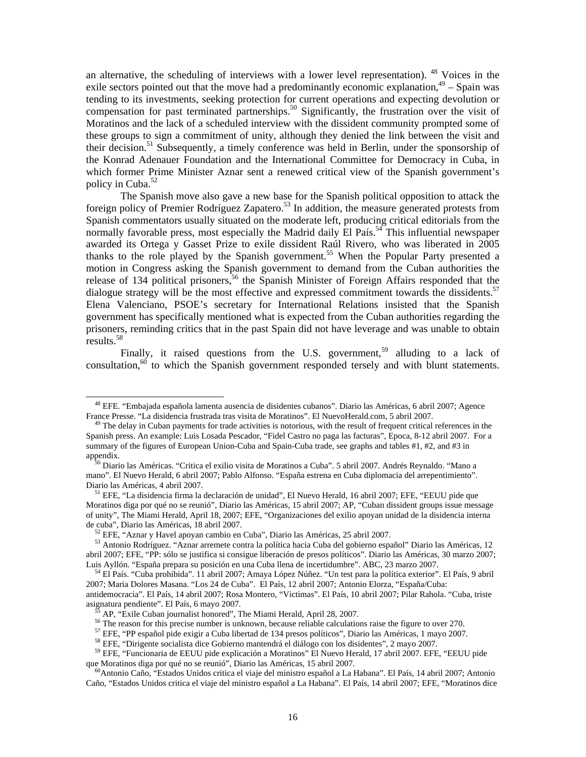an alternative, the scheduling of interviews with a lower level representation). <sup>48</sup> Voices in the exile sectors pointed out that the move had a predominantly economic explanation,  $49 -$  Spain was tending to its investments, seeking protection for current operations and expecting devolution or compensation for past terminated partnerships.<sup>50</sup> Significantly, the frustration over the visit of Moratinos and the lack of a scheduled interview with the dissident community prompted some of these groups to sign a commitment of unity, although they denied the link between the visit and their decision.<sup>51</sup> Subsequently, a timely conference was held in Berlin, under the sponsorship of the Konrad Adenauer Foundation and the International Committee for Democracy in Cuba, in which former Prime Minister Aznar sent a renewed critical view of the Spanish government's policy in Cuba. $52$ 

The Spanish move also gave a new base for the Spanish political opposition to attack the foreign policy of Premier Rodríguez Zapatero.<sup>53</sup> In addition, the measure generated protests from Spanish commentators usually situated on the moderate left, producing critical editorials from the normally favorable press, most especially the Madrid daily  $\mathrm{E}$ l País.<sup>54</sup> This influential newspaper awarded its Ortega y Gasset Prize to exile dissident Raúl Rivero, who was liberated in 2005 thanks to the role played by the Spanish government.<sup>55</sup> When the Popular Party presented a motion in Congress asking the Spanish government to demand from the Cuban authorities the release of 134 political prisoners,<sup>56</sup> the Spanish Minister of Foreign Affairs responded that the dialogue strategy will be the most effective and expressed commitment towards the dissidents.<sup>57</sup> Elena Valenciano, PSOE's secretary for International Relations insisted that the Spanish government has specifically mentioned what is expected from the Cuban authorities regarding the prisoners, reminding critics that in the past Spain did not have leverage and was unable to obtain results.<sup>58</sup>

Finally, it raised questions from the U.S. government,<sup>59</sup> alluding to a lack of consultation, $60$  to which the Spanish government responded tersely and with blunt statements.

48 EFE. "Embajada española lamenta ausencia de disidentes cubanos". Diario las Américas, 6 abril 2007; Agence France Presse. "La disidencia frustrada tras visita de Moratinos". El NuevoHerald.com, 5 abril 2007.

 $49$  The delay in Cuban payments for trade activities is notorious, with the result of frequent critical references in the Spanish press. An example: Luis Losada Pescador, "Fidel Castro no paga las facturas", Epoca, 8-12 abril 2007. For a summary of the figures of European Union-Cuba and Spain-Cuba trade, see graphs and tables #1, #2, and #3 in appendix.

50 Diario las Américas. "Critica el exilio visita de Moratinos a Cuba". 5 abril 2007. Andrés Reynaldo. "Mano a mano". El Nuevo Herald, 6 abril 2007; Pablo Alfonso. "España estrena en Cuba diplomacia del arrepentimiento". Diario las Américas, 4 abril 2007.

51 EFE, "La disidencia firma la declaración de unidad", El Nuevo Herald, 16 abril 2007; EFE, "EEUU pide que Moratinos diga por qué no se reunió", Diario las Américas, 15 abril 2007; AP, "Cuban dissident groups issue message of unity", The Miami Herald, April 18, 2007; EFE, "Organizaciones del exilio apoyan unidad de la disidencia interna de cuba", Diario las Américas, 18 abril 2007.

52 EFE, "Aznar y Havel apoyan cambio en Cuba", Diario las Américas, 25 abril 2007.

53 Antonio Rodríguez. "Aznar arremete contra la política hacia Cuba del gobierno español" Diario las Américas, 12 abril 2007; EFE, "PP: sólo se justifica si consigue liberación de presos políticos". Diario las Américas, 30 marzo 2007; Luis Ayllón. "España prepara su posición en una Cuba llena de incertidumbre". ABC, 23 marzo 2007.

54 El País. "Cuba prohibida". 11 abril 2007; Amaya López Núñez. "Un test para la política exterior". El País, 9 abril 2007; Maria Dolores Masana. "Los 24 de Cuba". El País, 12 abril 2007; Antonio Elorza, "España/Cuba: antidemocracia". El País, 14 abril 2007; Rosa Montero, "Victimas". El País, 10 abril 2007; Pilar Rahola. "Cuba, triste asignatura pendiente". El País, 6 mayo 2007.

55 AP, "Exile Cuban journalist honored", The Miami Herald, April 28, 2007.

<sup>&</sup>lt;sup>56</sup> The reason for this precise number is unknown, because reliable calculations raise the figure to over 270.

57 EFE, "PP español pide exigir a Cuba libertad de 134 presos políticos", Diario las Américas, 1 mayo 2007.

58 EFE, "Dirigente socialista dice Gobierno mantendrá el diálogo con los disidentes", 2 mayo 2007.

59 EFE, "Funcionaria de EEUU pide explicación a Moratinos" El Nuevo Herald, 17 abril 2007. EFE, "EEUU pide que Moratinos diga por qué no se reunió", Diario las Américas, 15 abril 2007.

60Antonio Caño, "Estados Unidos critica el viaje del ministro español a La Habana". El País, 14 abril 2007; Antonio Caño, "Estados Unidos critica el viaje del ministro español a La Habana". El País, 14 abril 2007; EFE, "Moratinos dice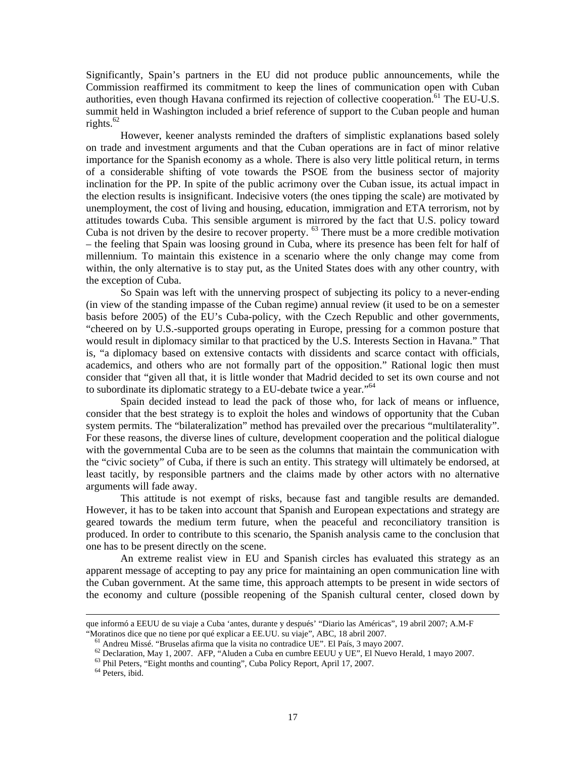Significantly, Spain's partners in the EU did not produce public announcements, while the Commission reaffirmed its commitment to keep the lines of communication open with Cuban authorities, even though Havana confirmed its rejection of collective cooperation.<sup>61</sup> The EU-U.S. summit held in Washington included a brief reference of support to the Cuban people and human rights. $62$ 

However, keener analysts reminded the drafters of simplistic explanations based solely on trade and investment arguments and that the Cuban operations are in fact of minor relative importance for the Spanish economy as a whole. There is also very little political return, in terms of a considerable shifting of vote towards the PSOE from the business sector of majority inclination for the PP. In spite of the public acrimony over the Cuban issue, its actual impact in the election results is insignificant. Indecisive voters (the ones tipping the scale) are motivated by unemployment, the cost of living and housing, education, immigration and ETA terrorism, not by attitudes towards Cuba. This sensible argument is mirrored by the fact that U.S. policy toward Cuba is not driven by the desire to recover property. <sup>63</sup> There must be a more credible motivation – the feeling that Spain was loosing ground in Cuba, where its presence has been felt for half of millennium. To maintain this existence in a scenario where the only change may come from within, the only alternative is to stay put, as the United States does with any other country, with the exception of Cuba.

So Spain was left with the unnerving prospect of subjecting its policy to a never-ending (in view of the standing impasse of the Cuban regime) annual review (it used to be on a semester basis before 2005) of the EU's Cuba-policy, with the Czech Republic and other governments, "cheered on by U.S.-supported groups operating in Europe, pressing for a common posture that would result in diplomacy similar to that practiced by the U.S. Interests Section in Havana." That is, "a diplomacy based on extensive contacts with dissidents and scarce contact with officials, academics, and others who are not formally part of the opposition." Rational logic then must consider that "given all that, it is little wonder that Madrid decided to set its own course and not to subordinate its diplomatic strategy to a EU-debate twice a year."64

Spain decided instead to lead the pack of those who, for lack of means or influence, consider that the best strategy is to exploit the holes and windows of opportunity that the Cuban system permits. The "bilateralization" method has prevailed over the precarious "multilaterality". For these reasons, the diverse lines of culture, development cooperation and the political dialogue with the governmental Cuba are to be seen as the columns that maintain the communication with the "civic society" of Cuba, if there is such an entity. This strategy will ultimately be endorsed, at least tacitly, by responsible partners and the claims made by other actors with no alternative arguments will fade away.

This attitude is not exempt of risks, because fast and tangible results are demanded. However, it has to be taken into account that Spanish and European expectations and strategy are geared towards the medium term future, when the peaceful and reconciliatory transition is produced. In order to contribute to this scenario, the Spanish analysis came to the conclusion that one has to be present directly on the scene.

An extreme realist view in EU and Spanish circles has evaluated this strategy as an apparent message of accepting to pay any price for maintaining an open communication line with the Cuban government. At the same time, this approach attempts to be present in wide sectors of the economy and culture (possible reopening of the Spanish cultural center, closed down by

que informó a EEUU de su viaje a Cuba 'antes, durante y después' "Diario las Américas", 19 abril 2007; A.M-F "Moratinos dice que no tiene por qué explicar a EE.UU. su viaje", ABC, 18 abril 2007.

61 Andreu Missé. "Bruselas afirma que la visita no contradice UE". El País, 3 mayo 2007.

62 Declaration, May 1, 2007. AFP, "Aluden a Cuba en cumbre EEUU y UE", El Nuevo Herald, 1 mayo 2007.

63 Phil Peters, "Eight months and counting", Cuba Policy Report, April 17, 2007.

64 Peters, ibid.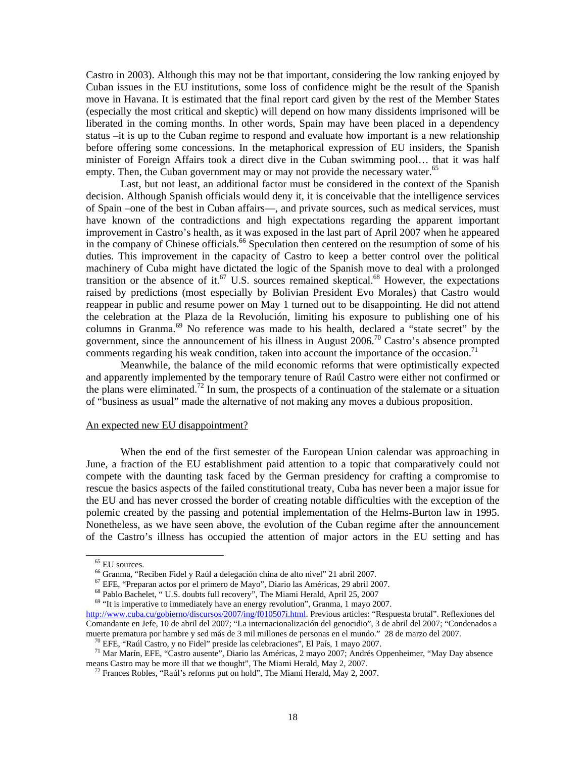Castro in 2003). Although this may not be that important, considering the low ranking enjoyed by Cuban issues in the EU institutions, some loss of confidence might be the result of the Spanish move in Havana. It is estimated that the final report card given by the rest of the Member States (especially the most critical and skeptic) will depend on how many dissidents imprisoned will be liberated in the coming months. In other words, Spain may have been placed in a dependency status –it is up to the Cuban regime to respond and evaluate how important is a new relationship before offering some concessions. In the metaphorical expression of EU insiders, the Spanish minister of Foreign Affairs took a direct dive in the Cuban swimming pool… that it was half empty. Then, the Cuban government may or may not provide the necessary water.<sup>65</sup>

Last, but not least, an additional factor must be considered in the context of the Spanish decision. Although Spanish officials would deny it, it is conceivable that the intelligence services of Spain –one of the best in Cuban affairs—, and private sources, such as medical services, must have known of the contradictions and high expectations regarding the apparent important improvement in Castro's health, as it was exposed in the last part of April 2007 when he appeared in the company of Chinese officials.<sup>66</sup> Speculation then centered on the resumption of some of his duties. This improvement in the capacity of Castro to keep a better control over the political machinery of Cuba might have dictated the logic of the Spanish move to deal with a prolonged transition or the absence of it.<sup>67</sup> U.S. sources remained skeptical.<sup>68</sup> However, the expectations raised by predictions (most especially by Bolivian President Evo Morales) that Castro would reappear in public and resume power on May 1 turned out to be disappointing. He did not attend the celebration at the Plaza de la Revolución, limiting his exposure to publishing one of his columns in Granma.<sup>69</sup> No reference was made to his health, declared a "state secret" by the government, since the announcement of his illness in August  $2006$ .<sup>70</sup> Castro's absence prompted comments regarding his weak condition, taken into account the importance of the occasion.<sup>71</sup>

Meanwhile, the balance of the mild economic reforms that were optimistically expected and apparently implemented by the temporary tenure of Raúl Castro were either not confirmed or the plans were eliminated.<sup>72</sup> In sum, the prospects of a continuation of the stalemate or a situation of "business as usual" made the alternative of not making any moves a dubious proposition.

### An expected new EU disappointment?

When the end of the first semester of the European Union calendar was approaching in June, a fraction of the EU establishment paid attention to a topic that comparatively could not compete with the daunting task faced by the German presidency for crafting a compromise to rescue the basics aspects of the failed constitutional treaty, Cuba has never been a major issue for the EU and has never crossed the border of creating notable difficulties with the exception of the polemic created by the passing and potential implementation of the Helms-Burton law in 1995. Nonetheless, as we have seen above, the evolution of the Cuban regime after the announcement of the Castro's illness has occupied the attention of major actors in the EU setting and has

65 EU sources.

66 Granma, "Reciben Fidel y Raúl a delegación china de alto nivel" 21 abril 2007.

67 EFE, "Preparan actos por el primero de Mayo", Diario las Américas, 29 abril 2007.

68 Pablo Bachelet, " U.S. doubts full recovery", The Miami Herald, April 25, 2007

<sup>&</sup>lt;sup>69</sup> "It is imperative to immediately have an energy revolution", Granma, 1 mayo 2007.

http://www.cuba.cu/gobierno/discursos/2007/ing/f010507i.html. Previous articles: "Respuesta brutal". Reflexiones del Comandante en Jefe, 10 de abril del 2007; "La internacionalización del genocidio", 3 de abril del 2007; "Condenados a muerte prematura por hambre y sed más de 3 mil millones de personas en el mundo." 28 de marzo del 2007.

 $^{70}$  EFE, "Raúl Castro, y no Fidel" preside las celebraciones", El País, 1 mayo 2007.

71 Mar Marín, EFE, "Castro ausente", Diario las Américas, 2 mayo 2007; Andrés Oppenheimer, "May Day absence means Castro may be more ill that we thought", The Miami Herald, May 2, 2007.

 $72$  Frances Robles, "Raúl's reforms put on hold", The Miami Herald, May 2, 2007.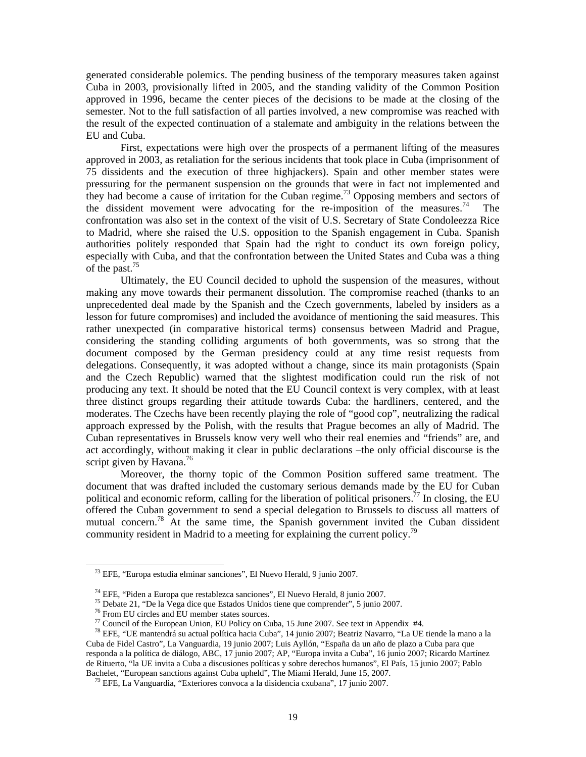generated considerable polemics. The pending business of the temporary measures taken against Cuba in 2003, provisionally lifted in 2005, and the standing validity of the Common Position approved in 1996, became the center pieces of the decisions to be made at the closing of the semester. Not to the full satisfaction of all parties involved, a new compromise was reached with the result of the expected continuation of a stalemate and ambiguity in the relations between the EU and Cuba.

First, expectations were high over the prospects of a permanent lifting of the measures approved in 2003, as retaliation for the serious incidents that took place in Cuba (imprisonment of 75 dissidents and the execution of three highjackers). Spain and other member states were pressuring for the permanent suspension on the grounds that were in fact not implemented and they had become a cause of irritation for the Cuban regime.<sup>73</sup> Opposing members and sectors of the dissident movement were advocating for the re-imposition of the measures.<sup>74</sup> The confrontation was also set in the context of the visit of U.S. Secretary of State Condoleezza Rice to Madrid, where she raised the U.S. opposition to the Spanish engagement in Cuba. Spanish authorities politely responded that Spain had the right to conduct its own foreign policy, especially with Cuba, and that the confrontation between the United States and Cuba was a thing of the past.<sup>75</sup>

Ultimately, the EU Council decided to uphold the suspension of the measures, without making any move towards their permanent dissolution. The compromise reached (thanks to an unprecedented deal made by the Spanish and the Czech governments, labeled by insiders as a lesson for future compromises) and included the avoidance of mentioning the said measures. This rather unexpected (in comparative historical terms) consensus between Madrid and Prague, considering the standing colliding arguments of both governments, was so strong that the document composed by the German presidency could at any time resist requests from delegations. Consequently, it was adopted without a change, since its main protagonists (Spain and the Czech Republic) warned that the slightest modification could run the risk of not producing any text. It should be noted that the EU Council context is very complex, with at least three distinct groups regarding their attitude towards Cuba: the hardliners, centered, and the moderates. The Czechs have been recently playing the role of "good cop", neutralizing the radical approach expressed by the Polish, with the results that Prague becomes an ally of Madrid. The Cuban representatives in Brussels know very well who their real enemies and "friends" are, and act accordingly, without making it clear in public declarations –the only official discourse is the script given by Havana. $^{76}$ 

Moreover, the thorny topic of the Common Position suffered same treatment. The document that was drafted included the customary serious demands made by the EU for Cuban political and economic reform, calling for the liberation of political prisoners.<sup>77</sup> In closing, the EU offered the Cuban government to send a special delegation to Brussels to discuss all matters of mutual concern.<sup>78</sup> At the same time, the Spanish government invited the Cuban dissident community resident in Madrid to a meeting for explaining the current policy.<sup>79</sup>

73 EFE, "Europa estudia elminar sanciones", El Nuevo Herald, 9 junio 2007.

74 EFE, "Piden a Europa que restablezca sanciones", El Nuevo Herald, 8 junio 2007.

75 Debate 21, "De la Vega dice que Estados Unidos tiene que comprender", 5 junio 2007.

76 From EU circles and EU member states sources.

<sup>&</sup>lt;sup>77</sup> Council of the European Union, EU Policy on Cuba, 15 June 2007. See text in Appendix  $#4$ .

78 EFE, "UE mantendrá su actual política hacia Cuba", 14 junio 2007; Beatriz Navarro, "La UE tiende la mano a la Cuba de Fidel Castro", La Vanguardia, 19 junio 2007; Luis Ayllón, "España da un año de plazo a Cuba para que responda a la política de diálogo, ABC, 17 junio 2007; AP, "Europa invita a Cuba", 16 junio 2007; Ricardo Martínez de Rituerto, "la UE invita a Cuba a discusiones políticas y sobre derechos humanos", El País, 15 junio 2007; Pablo Bachelet, "European sanctions against Cuba upheld", The Miami Herald, June 15, 2007.

79 EFE, La Vanguardia, "Exteriores convoca a la disidencia cxubana", 17 junio 2007.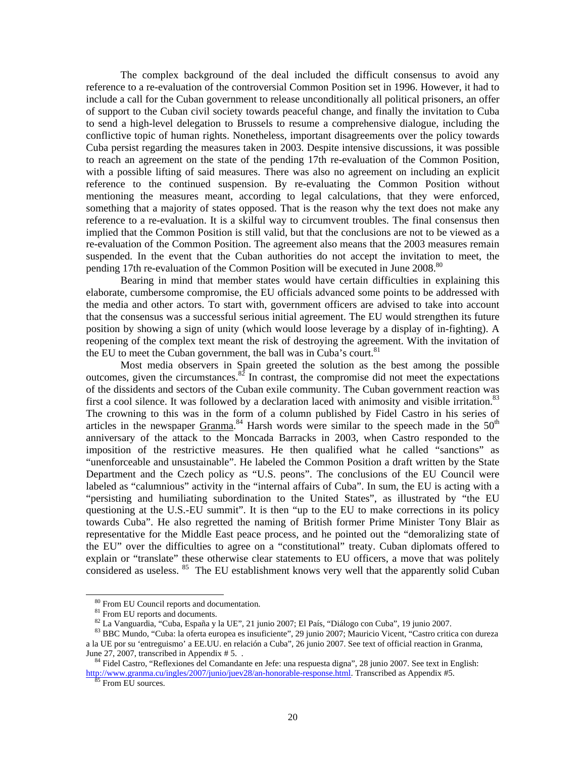The complex background of the deal included the difficult consensus to avoid any reference to a re-evaluation of the controversial Common Position set in 1996. However, it had to include a call for the Cuban government to release unconditionally all political prisoners, an offer of support to the Cuban civil society towards peaceful change, and finally the invitation to Cuba to send a high-level delegation to Brussels to resume a comprehensive dialogue, including the conflictive topic of human rights. Nonetheless, important disagreements over the policy towards Cuba persist regarding the measures taken in 2003. Despite intensive discussions, it was possible to reach an agreement on the state of the pending 17th re-evaluation of the Common Position, with a possible lifting of said measures. There was also no agreement on including an explicit reference to the continued suspension. By re-evaluating the Common Position without mentioning the measures meant, according to legal calculations, that they were enforced, something that a majority of states opposed. That is the reason why the text does not make any reference to a re-evaluation. It is a skilful way to circumvent troubles. The final consensus then implied that the Common Position is still valid, but that the conclusions are not to be viewed as a re-evaluation of the Common Position. The agreement also means that the 2003 measures remain suspended. In the event that the Cuban authorities do not accept the invitation to meet, the pending 17th re-evaluation of the Common Position will be executed in June 2008.<sup>80</sup>

Bearing in mind that member states would have certain difficulties in explaining this elaborate, cumbersome compromise, the EU officials advanced some points to be addressed with the media and other actors. To start with, government officers are advised to take into account that the consensus was a successful serious initial agreement. The EU would strengthen its future position by showing a sign of unity (which would loose leverage by a display of in-fighting). A reopening of the complex text meant the risk of destroying the agreement. With the invitation of the EU to meet the Cuban government, the ball was in Cuba's court.<sup>81</sup>

Most media observers in Spain greeted the solution as the best among the possible outcomes, given the circumstances. $82$  In contrast, the compromise did not meet the expectations of the dissidents and sectors of the Cuban exile community. The Cuban government reaction was first a cool silence. It was followed by a declaration laced with animosity and visible irritation.<sup>83</sup> The crowning to this was in the form of a column published by Fidel Castro in his series of articles in the newspaper  $Gramma$ .<sup>84</sup> Harsh words were similar to the speech made in the  $50<sup>th</sup>$ anniversary of the attack to the Moncada Barracks in 2003, when Castro responded to the imposition of the restrictive measures. He then qualified what he called "sanctions" as "unenforceable and unsustainable". He labeled the Common Position a draft written by the State Department and the Czech policy as "U.S. peons". The conclusions of the EU Council were labeled as "calumnious" activity in the "internal affairs of Cuba". In sum, the EU is acting with a "persisting and humiliating subordination to the United States", as illustrated by "the EU questioning at the U.S.-EU summit". It is then "up to the EU to make corrections in its policy towards Cuba". He also regretted the naming of British former Prime Minister Tony Blair as representative for the Middle East peace process, and he pointed out the "demoralizing state of the EU" over the difficulties to agree on a "constitutional" treaty. Cuban diplomats offered to explain or "translate" these otherwise clear statements to EU officers, a move that was politely considered as useless. <sup>85</sup> The EU establishment knows very well that the apparently solid Cuban

80 From EU Council reports and documentation.

<sup>&</sup>lt;sup>81</sup> From EU reports and documents.

82 La Vanguardia, "Cuba, España y la UE", 21 junio 2007; El País, "Diálogo con Cuba", 19 junio 2007.

83 BBC Mundo, "Cuba: la oferta europea es insuficiente", 29 junio 2007; Mauricio Vicent, "Castro critica con dureza a la UE por su 'entreguismo' a EE.UU. en relación a Cuba", 26 junio 2007. See text of official reaction in Granma, June 27, 2007, transcribed in Appendix # 5...

84 Fidel Castro, "Reflexiones del Comandante en Jefe: una respuesta digna", 28 junio 2007. See text in English: http://www.granma.cu/ingles/2007/junio/juev28/an-honorable-response.html. Transcribed as Appendix #5.

<sup>85</sup> From EU sources.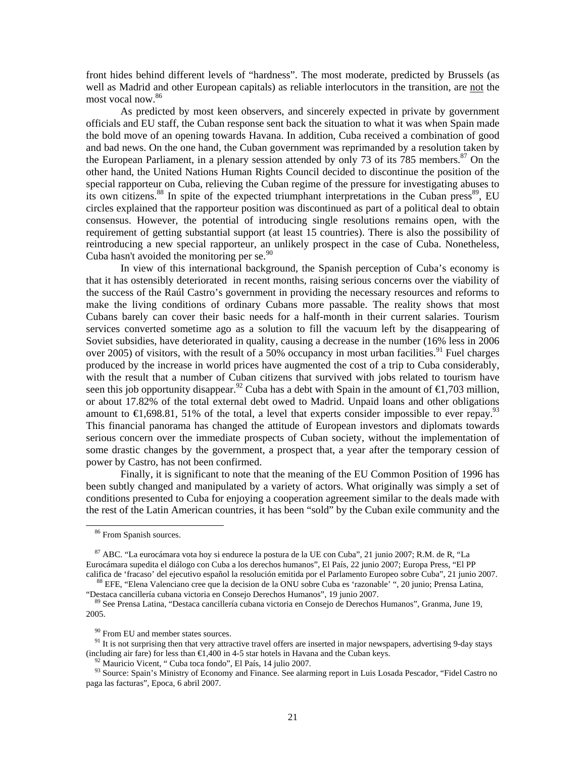front hides behind different levels of "hardness". The most moderate, predicted by Brussels (as well as Madrid and other European capitals) as reliable interlocutors in the transition, are not the most vocal now.86

As predicted by most keen observers, and sincerely expected in private by government officials and EU staff, the Cuban response sent back the situation to what it was when Spain made the bold move of an opening towards Havana. In addition, Cuba received a combination of good and bad news. On the one hand, the Cuban government was reprimanded by a resolution taken by the European Parliament, in a plenary session attended by only 73 of its 785 members.<sup>87</sup> On the other hand, the United Nations Human Rights Council decided to discontinue the position of the special rapporteur on Cuba, relieving the Cuban regime of the pressure for investigating abuses to its own citizens.<sup>88</sup> In spite of the expected triumphant interpretations in the Cuban press<sup>89</sup>, EU circles explained that the rapporteur position was discontinued as part of a political deal to obtain consensus. However, the potential of introducing single resolutions remains open, with the requirement of getting substantial support (at least 15 countries). There is also the possibility of reintroducing a new special rapporteur, an unlikely prospect in the case of Cuba. Nonetheless, Cuba hasn't avoided the monitoring per se. $90$ 

In view of this international background, the Spanish perception of Cuba's economy is that it has ostensibly deteriorated in recent months, raising serious concerns over the viability of the success of the Raúl Castro's government in providing the necessary resources and reforms to make the living conditions of ordinary Cubans more passable. The reality shows that most Cubans barely can cover their basic needs for a half-month in their current salaries. Tourism services converted sometime ago as a solution to fill the vacuum left by the disappearing of Soviet subsidies, have deteriorated in quality, causing a decrease in the number (16% less in 2006 over 2005) of visitors, with the result of a 50% occupancy in most urban facilities.<sup>91</sup> Fuel charges produced by the increase in world prices have augmented the cost of a trip to Cuba considerably, with the result that a number of Cuban citizens that survived with jobs related to tourism have seen this job opportunity disappear.<sup>92</sup> Cuba has a debt with Spain in the amount of  $\epsilon$ 1,703 million, or about 17.82% of the total external debt owed to Madrid. Unpaid loans and other obligations amount to  $\in$ 1,698.81, 51% of the total, a level that experts consider impossible to ever repay.<sup>93</sup> This financial panorama has changed the attitude of European investors and diplomats towards serious concern over the immediate prospects of Cuban society, without the implementation of some drastic changes by the government, a prospect that, a year after the temporary cession of power by Castro, has not been confirmed.

Finally, it is significant to note that the meaning of the EU Common Position of 1996 has been subtly changed and manipulated by a variety of actors. What originally was simply a set of conditions presented to Cuba for enjoying a cooperation agreement similar to the deals made with the rest of the Latin American countries, it has been "sold" by the Cuban exile community and the

<sup>&</sup>lt;sup>86</sup> From Spanish sources.

87 ABC. "La eurocámara vota hoy si endurece la postura de la UE con Cuba", 21 junio 2007; R.M. de R, "La Eurocámara supedita el diálogo con Cuba a los derechos humanos", El País, 22 junio 2007; Europa Press, "El PP califica de 'fracaso' del ejecutivo español la resolución emitida por el Parlamento Europeo sobre Cuba", 21 junio 2007.

<sup>88</sup> EFE, "Elena Valenciano cree que la decision de la ONU sobre Cuba es 'razonable' ", 20 junio; Prensa Latina, "Destaca cancillería cubana victoria en Consejo Derechos Humanos", 19 junio 2007.

89 See Prensa Latina, "Destaca cancillería cubana victoria en Consejo de Derechos Humanos", Granma, June 19, 2005.

<sup>&</sup>lt;sup>90</sup> From EU and member states sources.

 $91$  It is not surprising then that very attractive travel offers are inserted in major newspapers, advertising 9-day stays (including air fare) for less than  $\bigoplus$ , 400 in 4-5 star hotels in Havana and the Cuban keys.

 $^{92}$  Mauricio Vicent, " Cuba toca fondo", El País, 14 julio 2007.

<sup>93</sup> Source: Spain's Ministry of Economy and Finance. See alarming report in Luis Losada Pescador, "Fidel Castro no paga las facturas", Epoca, 6 abril 2007.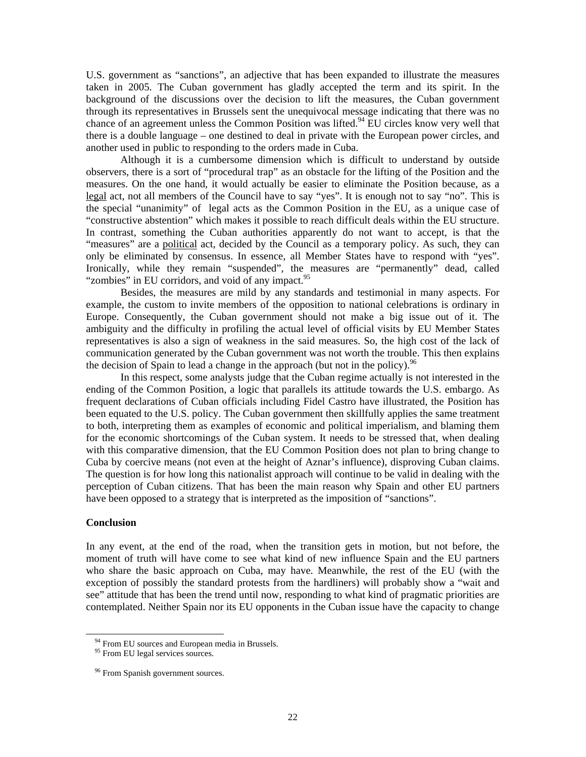U.S. government as "sanctions", an adjective that has been expanded to illustrate the measures taken in 2005. The Cuban government has gladly accepted the term and its spirit. In the background of the discussions over the decision to lift the measures, the Cuban government through its representatives in Brussels sent the unequivocal message indicating that there was no chance of an agreement unless the Common Position was lifted.<sup>94</sup> EU circles know very well that there is a double language – one destined to deal in private with the European power circles, and another used in public to responding to the orders made in Cuba.

Although it is a cumbersome dimension which is difficult to understand by outside observers, there is a sort of "procedural trap" as an obstacle for the lifting of the Position and the measures. On the one hand, it would actually be easier to eliminate the Position because, as a legal act, not all members of the Council have to say "yes". It is enough not to say "no". This is the special "unanimity" of legal acts as the Common Position in the EU, as a unique case of "constructive abstention" which makes it possible to reach difficult deals within the EU structure. In contrast, something the Cuban authorities apparently do not want to accept, is that the "measures" are a political act, decided by the Council as a temporary policy. As such, they can only be eliminated by consensus. In essence, all Member States have to respond with "yes". Ironically, while they remain "suspended", the measures are "permanently" dead, called "zombies" in EU corridors, and void of any impact.<sup>95</sup>

Besides, the measures are mild by any standards and testimonial in many aspects. For example, the custom to invite members of the opposition to national celebrations is ordinary in Europe. Consequently, the Cuban government should not make a big issue out of it. The ambiguity and the difficulty in profiling the actual level of official visits by EU Member States representatives is also a sign of weakness in the said measures. So, the high cost of the lack of communication generated by the Cuban government was not worth the trouble. This then explains the decision of Spain to lead a change in the approach (but not in the policy). <sup>96</sup>

In this respect, some analysts judge that the Cuban regime actually is not interested in the ending of the Common Position, a logic that parallels its attitude towards the U.S. embargo. As frequent declarations of Cuban officials including Fidel Castro have illustrated, the Position has been equated to the U.S. policy. The Cuban government then skillfully applies the same treatment to both, interpreting them as examples of economic and political imperialism, and blaming them for the economic shortcomings of the Cuban system. It needs to be stressed that, when dealing with this comparative dimension, that the EU Common Position does not plan to bring change to Cuba by coercive means (not even at the height of Aznar's influence), disproving Cuban claims. The question is for how long this nationalist approach will continue to be valid in dealing with the perception of Cuban citizens. That has been the main reason why Spain and other EU partners have been opposed to a strategy that is interpreted as the imposition of "sanctions".

#### **Conclusion**

 $\overline{a}$ 

In any event, at the end of the road, when the transition gets in motion, but not before, the moment of truth will have come to see what kind of new influence Spain and the EU partners who share the basic approach on Cuba, may have. Meanwhile, the rest of the EU (with the exception of possibly the standard protests from the hardliners) will probably show a "wait and see" attitude that has been the trend until now, responding to what kind of pragmatic priorities are contemplated. Neither Spain nor its EU opponents in the Cuban issue have the capacity to change

 $94$  From EU sources and European media in Brussels.

<sup>&</sup>lt;sup>95</sup> From EU legal services sources.

<sup>&</sup>lt;sup>96</sup> From Spanish government sources.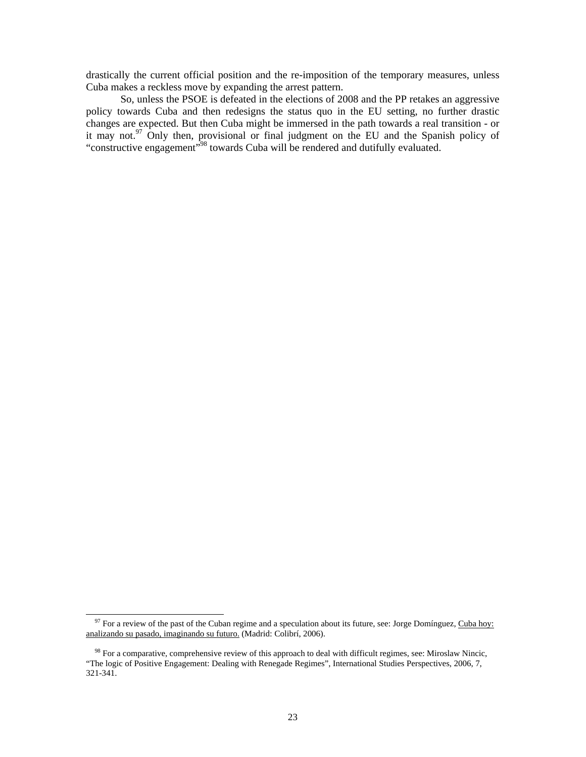drastically the current official position and the re-imposition of the temporary measures, unless Cuba makes a reckless move by expanding the arrest pattern.

So, unless the PSOE is defeated in the elections of 2008 and the PP retakes an aggressive policy towards Cuba and then redesigns the status quo in the EU setting, no further drastic changes are expected. But then Cuba might be immersed in the path towards a real transition - or it may not.97 Only then, provisional or final judgment on the EU and the Spanish policy of "constructive engagement"98 towards Cuba will be rendered and dutifully evaluated.

 $97$  For a review of the past of the Cuban regime and a speculation about its future, see: Jorge Domínguez, Cuba hoy: analizando su pasado, imaginando su futuro. (Madrid: Colibrí, 2006).

<sup>&</sup>lt;sup>98</sup> For a comparative, comprehensive review of this approach to deal with difficult regimes, see: Miroslaw Nincic, "The logic of Positive Engagement: Dealing with Renegade Regimes", International Studies Perspectives, 2006, 7, 321-341.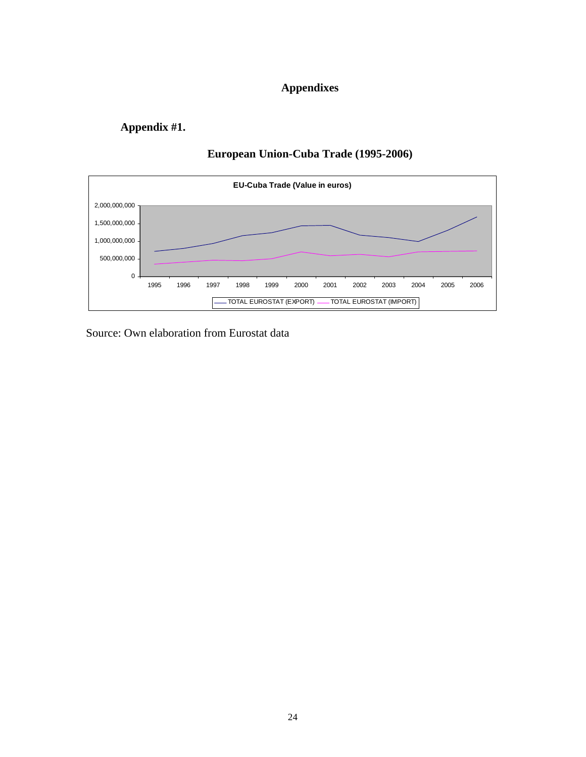# **Appendixes**

# **Appendix #1.**



# **European Union-Cuba Trade (1995-2006)**

Source: Own elaboration from Eurostat data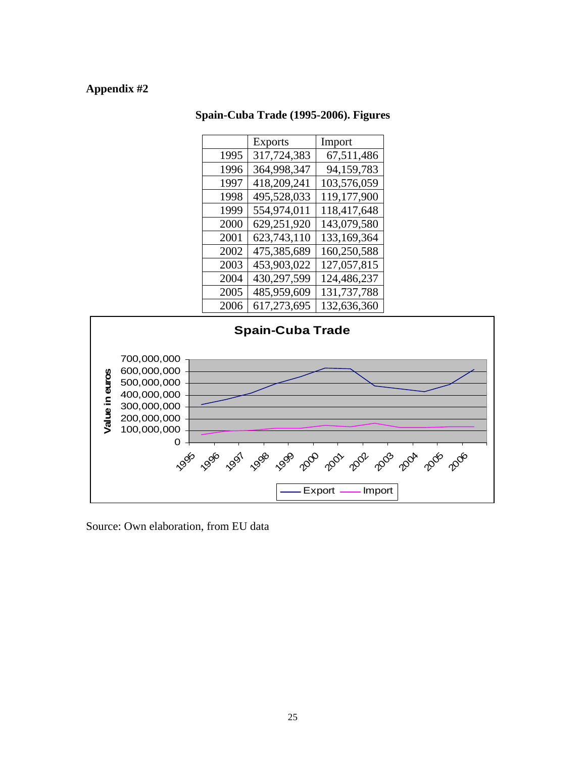# **Appendix #2**

# **Spain-Cuba Trade (1995-2006). Figures**

|      | <b>Exports</b> | Import      |
|------|----------------|-------------|
| 1995 | 317,724,383    | 67,511,486  |
| 1996 | 364,998,347    | 94,159,783  |
| 1997 | 418,209,241    | 103,576,059 |
| 1998 | 495,528,033    | 119,177,900 |
| 1999 | 554,974,011    | 118,417,648 |
| 2000 | 629,251,920    | 143,079,580 |
| 2001 | 623,743,110    | 133,169,364 |
| 2002 | 475,385,689    | 160,250,588 |
| 2003 | 453,903,022    | 127,057,815 |
| 2004 | 430,297,599    | 124,486,237 |
| 2005 | 485,959,609    | 131,737,788 |
| 2006 | 617,273,695    | 132,636,360 |



Source: Own elaboration, from EU data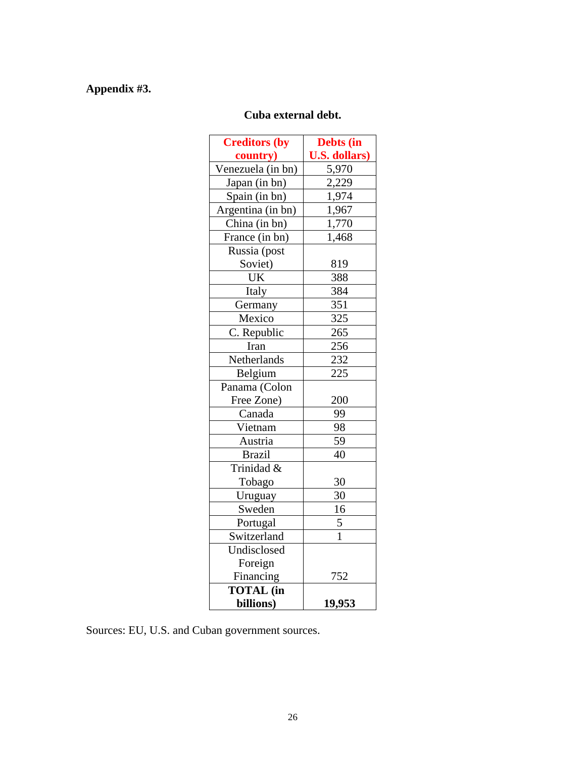# **Appendix #3.**

# **Cuba external debt.**

| <b>Creditors (by</b>     | Debts (in            |
|--------------------------|----------------------|
| country)                 | <b>U.S. dollars)</b> |
| Venezuela (in bn)        | 5,970                |
| Japan (in bn)            | 2,229                |
| Spain (in bn)            | 1,974                |
| Argentina (in bn)        | 1,967                |
| China (in bn)            | 1,770                |
| France (in bn)           | 1,468                |
| Russia (post             |                      |
| Soviet)                  | 819                  |
| UK                       | 388                  |
| Italy                    | 384                  |
| Germany                  | 351                  |
| Mexico                   | 325                  |
| C. Republic              | 265                  |
| Iran                     | 256                  |
| Netherlands              | 232                  |
| Belgium                  | 225                  |
| Panama (Colon            |                      |
| Free Zone)               | 200                  |
| Canada                   | 99                   |
| Vietnam                  | 98                   |
| Austria                  | 59                   |
| <b>Brazil</b>            | 40                   |
| Trinidad $\overline{\&}$ |                      |
| Tobago                   | 30                   |
| Uruguay                  | 30                   |
| Sweden                   | 16                   |
| Portugal                 | 5                    |
| Switzerland              | $\mathbf{1}$         |
| Undisclosed              |                      |
| Foreign                  |                      |
| Financing                | 752                  |
| <b>TOTAL</b> (in         |                      |
| billions)                | 19,953               |

Sources: EU, U.S. and Cuban government sources.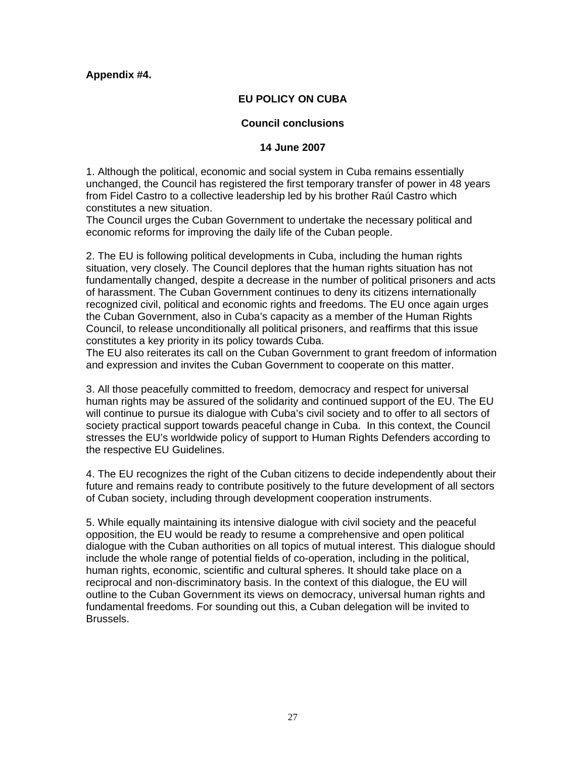# **Appendix #4.**

# **EU POLICY ON CUBA**

# **Council conclusions**

# **14 June 2007**

1. Although the political, economic and social system in Cuba remains essentially unchanged, the Council has registered the first temporary transfer of power in 48 years from Fidel Castro to a collective leadership led by his brother Raúl Castro which constitutes a new situation.

The Council urges the Cuban Government to undertake the necessary political and economic reforms for improving the daily life of the Cuban people.

2. The EU is following political developments in Cuba, including the human rights situation, very closely. The Council deplores that the human rights situation has not fundamentally changed, despite a decrease in the number of political prisoners and acts of harassment. The Cuban Government continues to deny its citizens internationally recognized civil, political and economic rights and freedoms. The EU once again urges the Cuban Government, also in Cuba's capacity as a member of the Human Rights Council, to release unconditionally all political prisoners, and reaffirms that this issue constitutes a key priority in its policy towards Cuba.

The EU also reiterates its call on the Cuban Government to grant freedom of information and expression and invites the Cuban Government to cooperate on this matter.

3. All those peacefully committed to freedom, democracy and respect for universal human rights may be assured of the solidarity and continued support of the EU. The EU will continue to pursue its dialogue with Cuba's civil society and to offer to all sectors of society practical support towards peaceful change in Cuba. In this context, the Council stresses the EU's worldwide policy of support to Human Rights Defenders according to the respective EU Guidelines.

4. The EU recognizes the right of the Cuban citizens to decide independently about their future and remains ready to contribute positively to the future development of all sectors of Cuban society, including through development cooperation instruments.

5. While equally maintaining its intensive dialogue with civil society and the peaceful opposition, the EU would be ready to resume a comprehensive and open political dialogue with the Cuban authorities on all topics of mutual interest. This dialogue should include the whole range of potential fields of co-operation, including in the political, human rights, economic, scientific and cultural spheres. It should take place on a reciprocal and non-discriminatory basis. In the context of this dialogue, the EU will outline to the Cuban Government its views on democracy, universal human rights and fundamental freedoms. For sounding out this, a Cuban delegation will be invited to Brussels.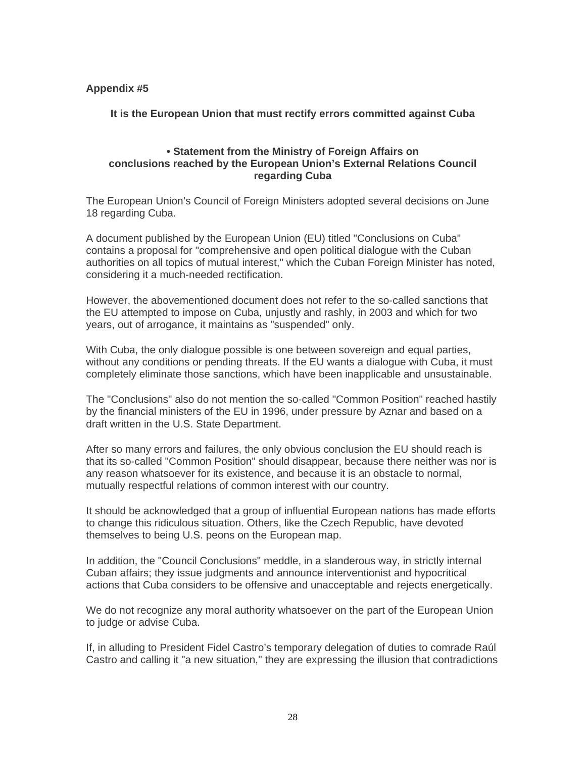# **Appendix #5**

**It is the European Union that must rectify errors committed against Cuba** 

# **• Statement from the Ministry of Foreign Affairs on conclusions reached by the European Union's External Relations Council regarding Cuba**

The European Union's Council of Foreign Ministers adopted several decisions on June 18 regarding Cuba.

A document published by the European Union (EU) titled "Conclusions on Cuba" contains a proposal for "comprehensive and open political dialogue with the Cuban authorities on all topics of mutual interest," which the Cuban Foreign Minister has noted, considering it a much-needed rectification.

However, the abovementioned document does not refer to the so-called sanctions that the EU attempted to impose on Cuba, unjustly and rashly, in 2003 and which for two years, out of arrogance, it maintains as "suspended" only.

With Cuba, the only dialogue possible is one between sovereign and equal parties, without any conditions or pending threats. If the EU wants a dialogue with Cuba, it must completely eliminate those sanctions, which have been inapplicable and unsustainable.

The "Conclusions" also do not mention the so-called "Common Position" reached hastily by the financial ministers of the EU in 1996, under pressure by Aznar and based on a draft written in the U.S. State Department.

After so many errors and failures, the only obvious conclusion the EU should reach is that its so-called "Common Position" should disappear, because there neither was nor is any reason whatsoever for its existence, and because it is an obstacle to normal, mutually respectful relations of common interest with our country.

It should be acknowledged that a group of influential European nations has made efforts to change this ridiculous situation. Others, like the Czech Republic, have devoted themselves to being U.S. peons on the European map.

In addition, the "Council Conclusions" meddle, in a slanderous way, in strictly internal Cuban affairs; they issue judgments and announce interventionist and hypocritical actions that Cuba considers to be offensive and unacceptable and rejects energetically.

We do not recognize any moral authority whatsoever on the part of the European Union to judge or advise Cuba.

If, in alluding to President Fidel Castro's temporary delegation of duties to comrade Raúl Castro and calling it "a new situation," they are expressing the illusion that contradictions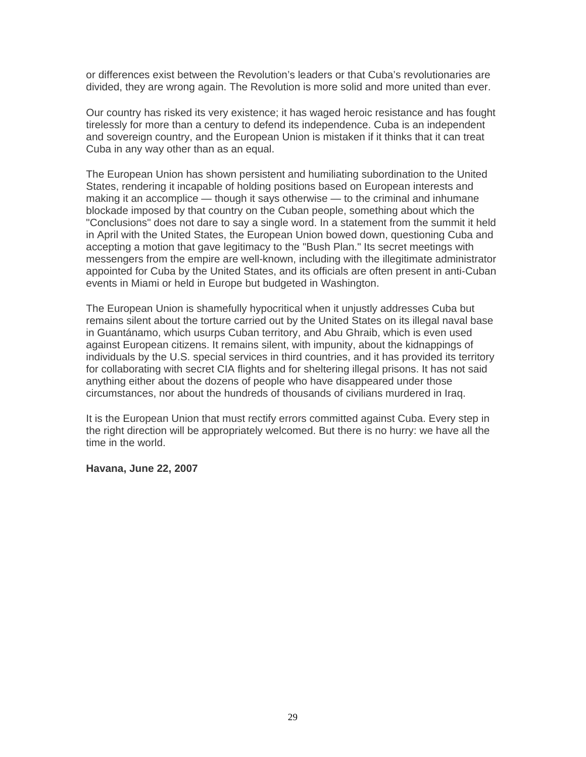or differences exist between the Revolution's leaders or that Cuba's revolutionaries are divided, they are wrong again. The Revolution is more solid and more united than ever.

Our country has risked its very existence; it has waged heroic resistance and has fought tirelessly for more than a century to defend its independence. Cuba is an independent and sovereign country, and the European Union is mistaken if it thinks that it can treat Cuba in any way other than as an equal.

The European Union has shown persistent and humiliating subordination to the United States, rendering it incapable of holding positions based on European interests and making it an accomplice — though it says otherwise — to the criminal and inhumane blockade imposed by that country on the Cuban people, something about which the "Conclusions" does not dare to say a single word. In a statement from the summit it held in April with the United States, the European Union bowed down, questioning Cuba and accepting a motion that gave legitimacy to the "Bush Plan." Its secret meetings with messengers from the empire are well-known, including with the illegitimate administrator appointed for Cuba by the United States, and its officials are often present in anti-Cuban events in Miami or held in Europe but budgeted in Washington.

The European Union is shamefully hypocritical when it unjustly addresses Cuba but remains silent about the torture carried out by the United States on its illegal naval base in Guantánamo, which usurps Cuban territory, and Abu Ghraib, which is even used against European citizens. It remains silent, with impunity, about the kidnappings of individuals by the U.S. special services in third countries, and it has provided its territory for collaborating with secret CIA flights and for sheltering illegal prisons. It has not said anything either about the dozens of people who have disappeared under those circumstances, nor about the hundreds of thousands of civilians murdered in Iraq.

It is the European Union that must rectify errors committed against Cuba. Every step in the right direction will be appropriately welcomed. But there is no hurry: we have all the time in the world.

# **Havana, June 22, 2007**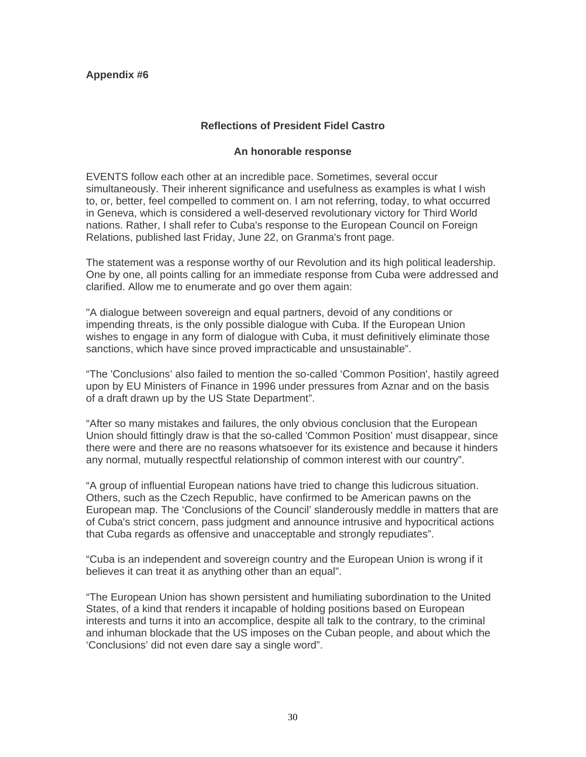# **Appendix #6**

# **Reflections of President Fidel Castro**

# **An honorable response**

EVENTS follow each other at an incredible pace. Sometimes, several occur simultaneously. Their inherent significance and usefulness as examples is what I wish to, or, better, feel compelled to comment on. I am not referring, today, to what occurred in Geneva, which is considered a well-deserved revolutionary victory for Third World nations. Rather, I shall refer to Cuba's response to the European Council on Foreign Relations, published last Friday, June 22, on Granma's front page.

The statement was a response worthy of our Revolution and its high political leadership. One by one, all points calling for an immediate response from Cuba were addressed and clarified. Allow me to enumerate and go over them again:

"A dialogue between sovereign and equal partners, devoid of any conditions or impending threats, is the only possible dialogue with Cuba. If the European Union wishes to engage in any form of dialogue with Cuba, it must definitively eliminate those sanctions, which have since proved impracticable and unsustainable".

"The 'Conclusions' also failed to mention the so-called 'Common Position', hastily agreed upon by EU Ministers of Finance in 1996 under pressures from Aznar and on the basis of a draft drawn up by the US State Department".

"After so many mistakes and failures, the only obvious conclusion that the European Union should fittingly draw is that the so-called 'Common Position' must disappear, since there were and there are no reasons whatsoever for its existence and because it hinders any normal, mutually respectful relationship of common interest with our country".

"A group of influential European nations have tried to change this ludicrous situation. Others, such as the Czech Republic, have confirmed to be American pawns on the European map. The 'Conclusions of the Council' slanderously meddle in matters that are of Cuba's strict concern, pass judgment and announce intrusive and hypocritical actions that Cuba regards as offensive and unacceptable and strongly repudiates".

"Cuba is an independent and sovereign country and the European Union is wrong if it believes it can treat it as anything other than an equal".

"The European Union has shown persistent and humiliating subordination to the United States, of a kind that renders it incapable of holding positions based on European interests and turns it into an accomplice, despite all talk to the contrary, to the criminal and inhuman blockade that the US imposes on the Cuban people, and about which the 'Conclusions' did not even dare say a single word".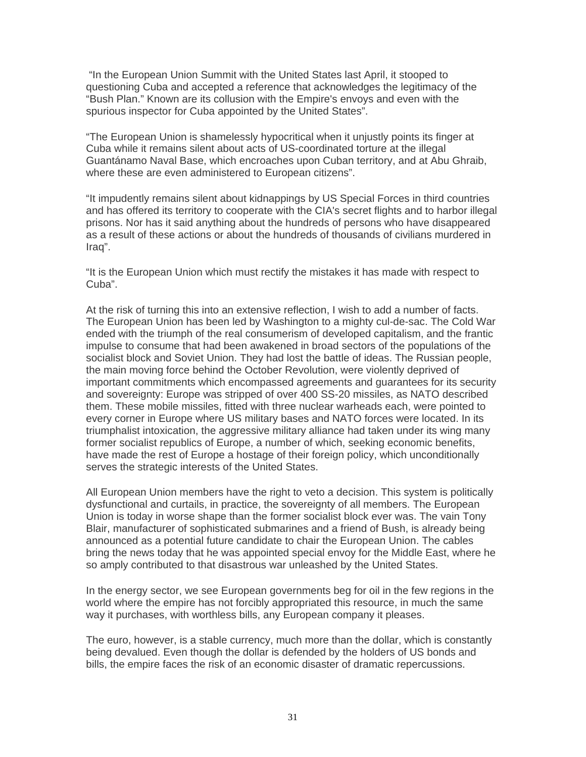"In the European Union Summit with the United States last April, it stooped to questioning Cuba and accepted a reference that acknowledges the legitimacy of the "Bush Plan." Known are its collusion with the Empire's envoys and even with the spurious inspector for Cuba appointed by the United States".

"The European Union is shamelessly hypocritical when it unjustly points its finger at Cuba while it remains silent about acts of US-coordinated torture at the illegal Guantánamo Naval Base, which encroaches upon Cuban territory, and at Abu Ghraib, where these are even administered to European citizens".

"It impudently remains silent about kidnappings by US Special Forces in third countries and has offered its territory to cooperate with the CIA's secret flights and to harbor illegal prisons. Nor has it said anything about the hundreds of persons who have disappeared as a result of these actions or about the hundreds of thousands of civilians murdered in Iraq".

"It is the European Union which must rectify the mistakes it has made with respect to Cuba".

At the risk of turning this into an extensive reflection, I wish to add a number of facts. The European Union has been led by Washington to a mighty cul-de-sac. The Cold War ended with the triumph of the real consumerism of developed capitalism, and the frantic impulse to consume that had been awakened in broad sectors of the populations of the socialist block and Soviet Union. They had lost the battle of ideas. The Russian people, the main moving force behind the October Revolution, were violently deprived of important commitments which encompassed agreements and guarantees for its security and sovereignty: Europe was stripped of over 400 SS-20 missiles, as NATO described them. These mobile missiles, fitted with three nuclear warheads each, were pointed to every corner in Europe where US military bases and NATO forces were located. In its triumphalist intoxication, the aggressive military alliance had taken under its wing many former socialist republics of Europe, a number of which, seeking economic benefits, have made the rest of Europe a hostage of their foreign policy, which unconditionally serves the strategic interests of the United States.

All European Union members have the right to veto a decision. This system is politically dysfunctional and curtails, in practice, the sovereignty of all members. The European Union is today in worse shape than the former socialist block ever was. The vain Tony Blair, manufacturer of sophisticated submarines and a friend of Bush, is already being announced as a potential future candidate to chair the European Union. The cables bring the news today that he was appointed special envoy for the Middle East, where he so amply contributed to that disastrous war unleashed by the United States.

In the energy sector, we see European governments beg for oil in the few regions in the world where the empire has not forcibly appropriated this resource, in much the same way it purchases, with worthless bills, any European company it pleases.

The euro, however, is a stable currency, much more than the dollar, which is constantly being devalued. Even though the dollar is defended by the holders of US bonds and bills, the empire faces the risk of an economic disaster of dramatic repercussions.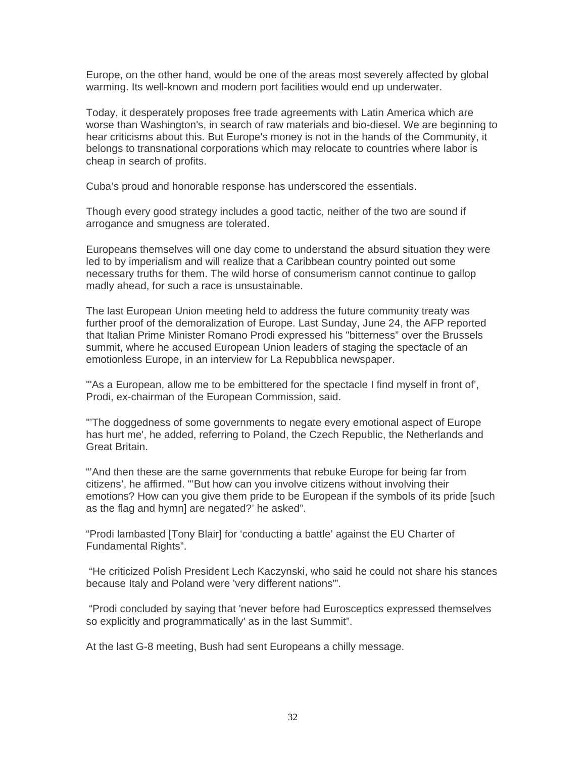Europe, on the other hand, would be one of the areas most severely affected by global warming. Its well-known and modern port facilities would end up underwater.

Today, it desperately proposes free trade agreements with Latin America which are worse than Washington's, in search of raw materials and bio-diesel. We are beginning to hear criticisms about this. But Europe's money is not in the hands of the Community, it belongs to transnational corporations which may relocate to countries where labor is cheap in search of profits.

Cuba's proud and honorable response has underscored the essentials.

Though every good strategy includes a good tactic, neither of the two are sound if arrogance and smugness are tolerated.

Europeans themselves will one day come to understand the absurd situation they were led to by imperialism and will realize that a Caribbean country pointed out some necessary truths for them. The wild horse of consumerism cannot continue to gallop madly ahead, for such a race is unsustainable.

The last European Union meeting held to address the future community treaty was further proof of the demoralization of Europe. Last Sunday, June 24, the AFP reported that Italian Prime Minister Romano Prodi expressed his "bitterness" over the Brussels summit, where he accused European Union leaders of staging the spectacle of an emotionless Europe, in an interview for La Repubblica newspaper.

"'As a European, allow me to be embittered for the spectacle I find myself in front of', Prodi, ex-chairman of the European Commission, said.

"'The doggedness of some governments to negate every emotional aspect of Europe has hurt me', he added, referring to Poland, the Czech Republic, the Netherlands and Great Britain.

"'And then these are the same governments that rebuke Europe for being far from citizens', he affirmed. "'But how can you involve citizens without involving their emotions? How can you give them pride to be European if the symbols of its pride [such as the flag and hymn] are negated?' he asked".

"Prodi lambasted [Tony Blair] for 'conducting a battle' against the EU Charter of Fundamental Rights".

 "He criticized Polish President Lech Kaczynski, who said he could not share his stances because Italy and Poland were 'very different nations'".

 "Prodi concluded by saying that 'never before had Eurosceptics expressed themselves so explicitly and programmatically' as in the last Summit".

At the last G-8 meeting, Bush had sent Europeans a chilly message.